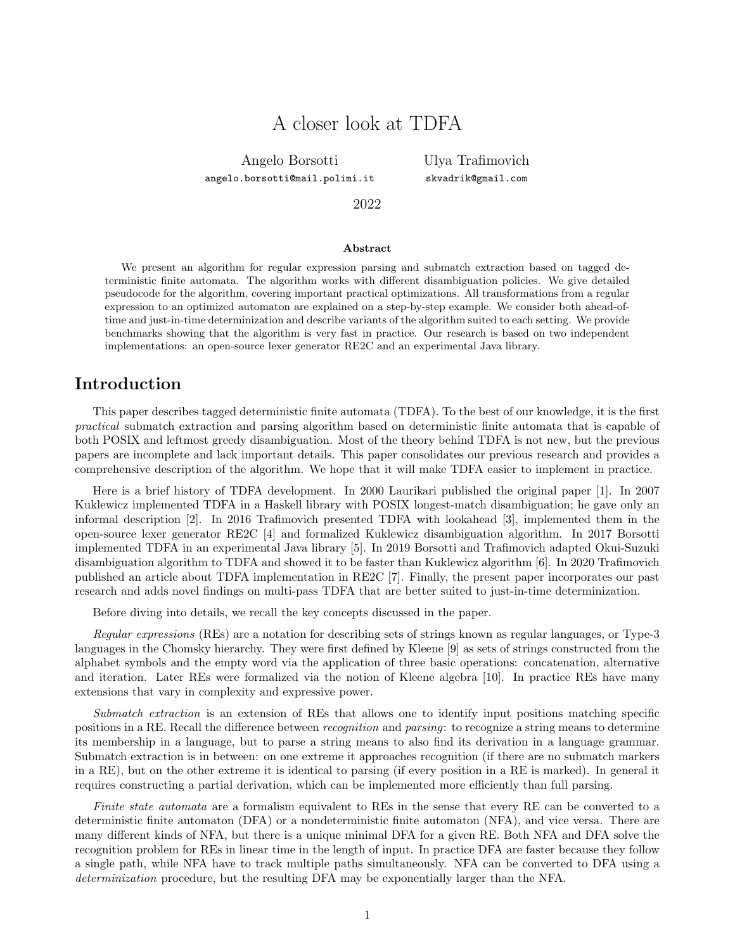# A closer look at TDFA

Angelo Borsotti

angelo.borsotti@mail.polimi.it

Ulya Trafimovich skvadrik@gmail.com

### 2022

#### Abstract

We present an algorithm for regular expression parsing and submatch extraction based on tagged deterministic finite automata. The algorithm works with different disambiguation policies. We give detailed pseudocode for the algorithm, covering important practical optimizations. All transformations from a regular expression to an optimized automaton are explained on a step-by-step example. We consider both ahead-oftime and just-in-time determinization and describe variants of the algorithm suited to each setting. We provide benchmarks showing that the algorithm is very fast in practice. Our research is based on two independent implementations: an open-source lexer generator RE2C and an experimental Java library.

### Introduction

This paper describes tagged deterministic finite automata (TDFA). To the best of our knowledge, it is the first practical submatch extraction and parsing algorithm based on deterministic finite automata that is capable of both POSIX and leftmost greedy disambiguation. Most of the theory behind TDFA is not new, but the previous papers are incomplete and lack important details. This paper consolidates our previous research and provides a comprehensive description of the algorithm. We hope that it will make TDFA easier to implement in practice.

Here is a brief history of TDFA development. In 2000 Laurikari published the original paper [1]. In 2007 Kuklewicz implemented TDFA in a Haskell library with POSIX longest-match disambiguation; he gave only an informal description [2]. In 2016 Trafimovich presented TDFA with lookahead [3], implemented them in the open-source lexer generator RE2C [4] and formalized Kuklewicz disambiguation algorithm. In 2017 Borsotti implemented TDFA in an experimental Java library [5]. In 2019 Borsotti and Trafimovich adapted Okui-Suzuki disambiguation algorithm to TDFA and showed it to be faster than Kuklewicz algorithm [6]. In 2020 Trafimovich published an article about TDFA implementation in RE2C [7]. Finally, the present paper incorporates our past research and adds novel findings on multi-pass TDFA that are better suited to just-in-time determinization.

Before diving into details, we recall the key concepts discussed in the paper.

Regular expressions (REs) are a notation for describing sets of strings known as regular languages, or Type-3 languages in the Chomsky hierarchy. They were first defined by Kleene [9] as sets of strings constructed from the alphabet symbols and the empty word via the application of three basic operations: concatenation, alternative and iteration. Later REs were formalized via the notion of Kleene algebra [10]. In practice REs have many extensions that vary in complexity and expressive power.

Submatch extraction is an extension of REs that allows one to identify input positions matching specific positions in a RE. Recall the difference between recognition and parsing: to recognize a string means to determine its membership in a language, but to parse a string means to also find its derivation in a language grammar. Submatch extraction is in between: on one extreme it approaches recognition (if there are no submatch markers in a RE), but on the other extreme it is identical to parsing (if every position in a RE is marked). In general it requires constructing a partial derivation, which can be implemented more efficiently than full parsing.

Finite state automata are a formalism equivalent to REs in the sense that every RE can be converted to a deterministic finite automaton (DFA) or a nondeterministic finite automaton (NFA), and vice versa. There are many different kinds of NFA, but there is a unique minimal DFA for a given RE. Both NFA and DFA solve the recognition problem for REs in linear time in the length of input. In practice DFA are faster because they follow a single path, while NFA have to track multiple paths simultaneously. NFA can be converted to DFA using a determinization procedure, but the resulting DFA may be exponentially larger than the NFA.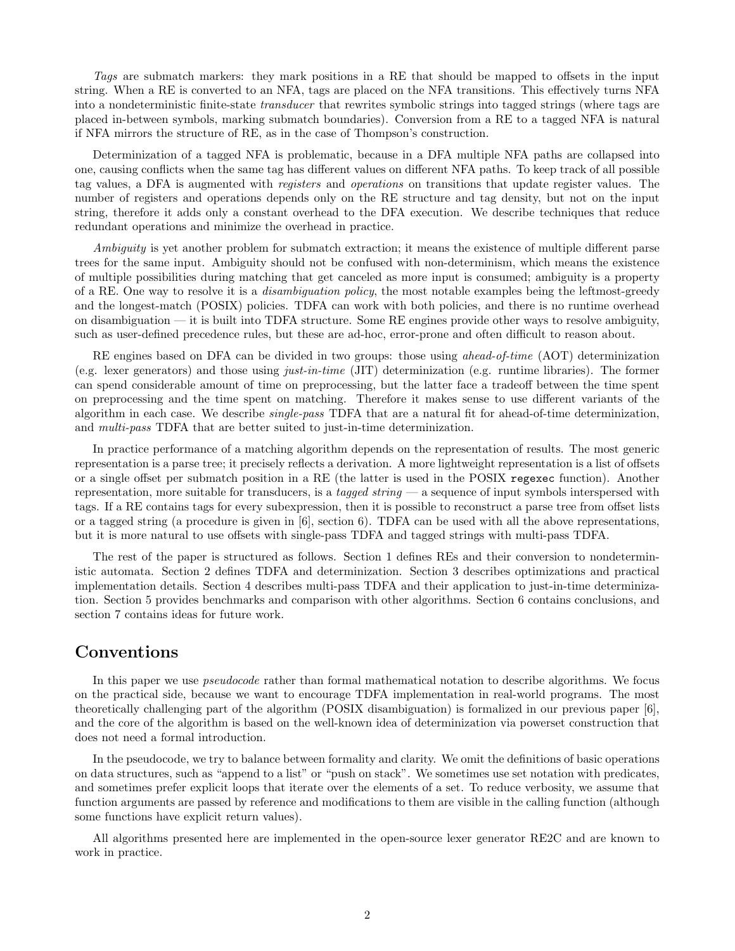Tags are submatch markers: they mark positions in a RE that should be mapped to offsets in the input string. When a RE is converted to an NFA, tags are placed on the NFA transitions. This effectively turns NFA into a nondeterministic finite-state transducer that rewrites symbolic strings into tagged strings (where tags are placed in-between symbols, marking submatch boundaries). Conversion from a RE to a tagged NFA is natural if NFA mirrors the structure of RE, as in the case of Thompson's construction.

Determinization of a tagged NFA is problematic, because in a DFA multiple NFA paths are collapsed into one, causing conflicts when the same tag has different values on different NFA paths. To keep track of all possible tag values, a DFA is augmented with *registers* and *operations* on transitions that update register values. The number of registers and operations depends only on the RE structure and tag density, but not on the input string, therefore it adds only a constant overhead to the DFA execution. We describe techniques that reduce redundant operations and minimize the overhead in practice.

Ambiguity is yet another problem for submatch extraction; it means the existence of multiple different parse trees for the same input. Ambiguity should not be confused with non-determinism, which means the existence of multiple possibilities during matching that get canceled as more input is consumed; ambiguity is a property of a RE. One way to resolve it is a disambiguation policy, the most notable examples being the leftmost-greedy and the longest-match (POSIX) policies. TDFA can work with both policies, and there is no runtime overhead on disambiguation — it is built into TDFA structure. Some RE engines provide other ways to resolve ambiguity, such as user-defined precedence rules, but these are ad-hoc, error-prone and often difficult to reason about.

RE engines based on DFA can be divided in two groups: those using *ahead-of-time* (AOT) determinization (e.g. lexer generators) and those using just-in-time (JIT) determinization (e.g. runtime libraries). The former can spend considerable amount of time on preprocessing, but the latter face a tradeoff between the time spent on preprocessing and the time spent on matching. Therefore it makes sense to use different variants of the algorithm in each case. We describe single-pass TDFA that are a natural fit for ahead-of-time determinization, and multi-pass TDFA that are better suited to just-in-time determinization.

In practice performance of a matching algorithm depends on the representation of results. The most generic representation is a parse tree; it precisely reflects a derivation. A more lightweight representation is a list of offsets or a single offset per submatch position in a RE (the latter is used in the POSIX regexec function). Another representation, more suitable for transducers, is a tagged string  $-$  a sequence of input symbols interspersed with tags. If a RE contains tags for every subexpression, then it is possible to reconstruct a parse tree from offset lists or a tagged string (a procedure is given in [6], section 6). TDFA can be used with all the above representations, but it is more natural to use offsets with single-pass TDFA and tagged strings with multi-pass TDFA.

The rest of the paper is structured as follows. Section 1 defines REs and their conversion to nondeterministic automata. Section 2 defines TDFA and determinization. Section 3 describes optimizations and practical implementation details. Section 4 describes multi-pass TDFA and their application to just-in-time determinization. Section 5 provides benchmarks and comparison with other algorithms. Section 6 contains conclusions, and section 7 contains ideas for future work.

## Conventions

In this paper we use *pseudocode* rather than formal mathematical notation to describe algorithms. We focus on the practical side, because we want to encourage TDFA implementation in real-world programs. The most theoretically challenging part of the algorithm (POSIX disambiguation) is formalized in our previous paper [6], and the core of the algorithm is based on the well-known idea of determinization via powerset construction that does not need a formal introduction.

In the pseudocode, we try to balance between formality and clarity. We omit the definitions of basic operations on data structures, such as "append to a list" or "push on stack". We sometimes use set notation with predicates, and sometimes prefer explicit loops that iterate over the elements of a set. To reduce verbosity, we assume that function arguments are passed by reference and modifications to them are visible in the calling function (although some functions have explicit return values).

All algorithms presented here are implemented in the open-source lexer generator RE2C and are known to work in practice.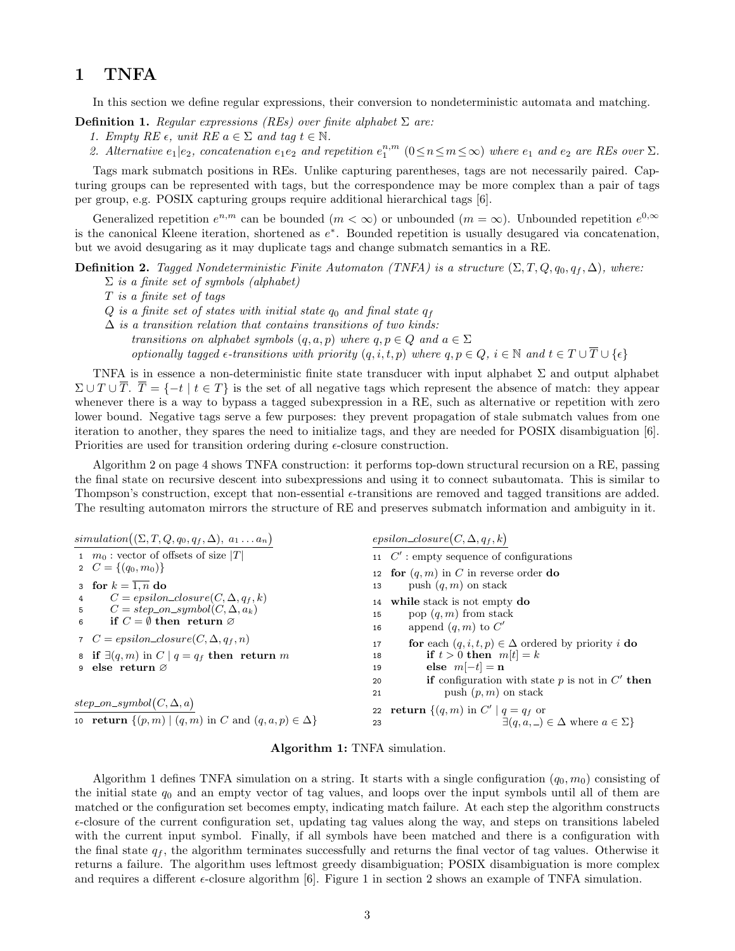## 1 TNFA

In this section we define regular expressions, their conversion to nondeterministic automata and matching.

**Definition 1.** Regular expressions (REs) over finite alphabet  $\Sigma$  are:

- 1. Empty RE  $\epsilon$ , unit RE  $a \in \Sigma$  and tag  $t \in \mathbb{N}$ .
- 2. Alternative  $e_1|e_2$ , concatenation  $e_1e_2$  and repetition  $e_1^{n,m}$   $(0 \le n \le m \le \infty)$  where  $e_1$  and  $e_2$  are REs over  $\Sigma$ .

Tags mark submatch positions in REs. Unlike capturing parentheses, tags are not necessarily paired. Capturing groups can be represented with tags, but the correspondence may be more complex than a pair of tags per group, e.g. POSIX capturing groups require additional hierarchical tags [6].

Generalized repetition  $e^{n,m}$  can be bounded  $(m < \infty)$  or unbounded  $(m = \infty)$ . Unbounded repetition  $e^{0,\infty}$ is the canonical Kleene iteration, shortened as e ∗ . Bounded repetition is usually desugared via concatenation, but we avoid desugaring as it may duplicate tags and change submatch semantics in a RE.

**Definition 2.** Tagged Nondeterministic Finite Automaton (TNFA) is a structure  $(\Sigma, T, Q, q_0, q_f, \Delta)$ , where:

- $\Sigma$  is a finite set of symbols (alphabet)
- T is a finite set of tags
- $Q$  is a finite set of states with initial state  $q_0$  and final state  $q_f$
- $\Delta$  is a transition relation that contains transitions of two kinds:
	- transitions on alphabet symbols  $(q, a, p)$  where  $q, p \in Q$  and  $a \in \Sigma$

optionally tagged  $\epsilon$ -transitions with priority  $(q, i, t, p)$  where  $q, p \in Q$ ,  $i \in \mathbb{N}$  and  $t \in T \cup \overline{T} \cup {\epsilon}$ 

TNFA is in essence a non-deterministic finite state transducer with input alphabet  $\Sigma$  and output alphabet  $\Sigma \cup T \cup \overline{T}$ .  $\overline{T} = \{-t \mid t \in T\}$  is the set of all negative tags which represent the absence of match: they appear whenever there is a way to bypass a tagged subexpression in a RE, such as alternative or repetition with zero lower bound. Negative tags serve a few purposes: they prevent propagation of stale submatch values from one iteration to another, they spares the need to initialize tags, and they are needed for POSIX disambiguation [6]. Priorities are used for transition ordering during  $\epsilon$ -closure construction.

Algorithm 2 on page 4 shows TNFA construction: it performs top-down structural recursion on a RE, passing the final state on recursive descent into subexpressions and using it to connect subautomata. This is similar to Thompson's construction, except that non-essential  $\epsilon$ -transitions are removed and tagged transitions are added. The resulting automaton mirrors the structure of RE and preserves submatch information and ambiguity in it.

| simulation $((\Sigma, T, Q, q_0, q_f, \Delta), a_1 \dots a_n)$                     | $epsilon(C, \Delta, q_f, k)$                                      |
|------------------------------------------------------------------------------------|-------------------------------------------------------------------|
| 1 $m_0$ : vector of offsets of size  T                                             | 11 $C'$ : empty sequence of configurations                        |
| 2 $C = \{(q_0, m_0)\}\$                                                            | 12 for $(q, m)$ in C in reverse order do                          |
| 3 for $k = \overline{1, n}$ do                                                     | push $(q, m)$ on stack<br>13                                      |
| $C = epsilon\_closure(C, \Delta, q_f, k)$<br>$\overline{4}$                        | while stack is not empty do<br>14                                 |
| $C = step\_on\_symbol(C, \Delta, a_k)$<br>5                                        | pop $(q, m)$ from stack<br>15                                     |
| if $C = \emptyset$ then return $\emptyset$<br>6                                    | append $(q,m)$ to $C'$<br>16                                      |
| 7 $C = epsilon\_closure(C, \Delta, q_f, n)$                                        | for each $(q, i, t, p) \in \Delta$ ordered by priority i do<br>17 |
| 8 if $\exists (q,m)$ in $C \mid q = q_f$ then return m                             | if $t > 0$ then $m[t] = k$<br>18                                  |
| 9 else return $\varnothing$                                                        | else $m[-t] = n$<br>19                                            |
|                                                                                    | <b>if</b> configuration with state p is not in $C'$ then<br>20    |
|                                                                                    | push $(p, m)$ on stack<br>21                                      |
| $step\_on\_symbol(C, \Delta, a)$                                                   | 22 return $\{(q,m) \text{ in } C' \mid q = q_f \text{ or }$       |
| 10 <b>return</b> $\{(p,m)   (q,m) \text{ in } C \text{ and } (q,a,p) \in \Delta\}$ | $\exists (q, a, \_) \in \Delta$ where $a \in \Sigma$ }<br>23      |

Algorithm 1: TNFA simulation.

Algorithm 1 defines TNFA simulation on a string. It starts with a single configuration  $(q_0, m_0)$  consisting of the initial state  $q_0$  and an empty vector of tag values, and loops over the input symbols until all of them are matched or the configuration set becomes empty, indicating match failure. At each step the algorithm constructs  $\epsilon$ -closure of the current configuration set, updating tag values along the way, and steps on transitions labeled with the current input symbol. Finally, if all symbols have been matched and there is a configuration with the final state  $q_f$ , the algorithm terminates successfully and returns the final vector of tag values. Otherwise it returns a failure. The algorithm uses leftmost greedy disambiguation; POSIX disambiguation is more complex and requires a different  $\epsilon$ -closure algorithm [6]. Figure 1 in section 2 shows an example of TNFA simulation.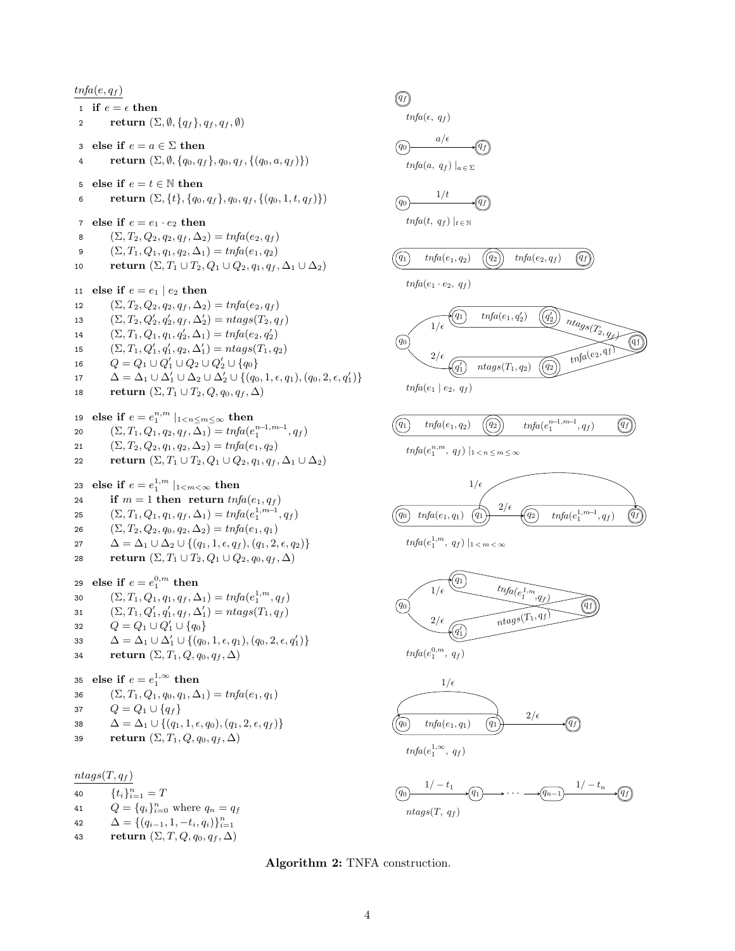$\textit{tnfa}(e, q_f)$ 1 if  $e = \epsilon$  then 2 return  $(\Sigma, \emptyset, \{q_f\}, q_f, q_f, \emptyset)$ 3 else if  $e = a \in \Sigma$  then 4 return  $(\Sigma, \emptyset, \{q_0, q_f\}, q_0, q_f, \{(q_0, a, q_f)\})$ 5 else if  $e = t \in \mathbb{N}$  then 6 return  $(\Sigma, \{t\}, \{q_0, q_f\}, q_0, q_f, \{(q_0, 1, t, q_f)\})$ 7 else if  $e = e_1 \cdot e_2$  then 8  $(\Sigma, T_2, Q_2, q_2, q_f, \Delta_2) = \text{tnfa}(e_2, q_f)$ 9  $(\Sigma, T_1, Q_1, q_1, q_2, \Delta_1) = \text{tnfa}(e_1, q_2)$ 10 return  $(\Sigma, T_1 \cup T_2, Q_1 \cup Q_2, q_1, q_f, \Delta_1 \cup \Delta_2)$ 11 else if  $e = e_1 \mid e_2$  then 12  $(\Sigma, T_2, Q_2, q_2, q_f, \Delta_2) = \text{tr} f a(e_2, q_f)$ 13  $(\Sigma, T_2, Q'_2, q'_2, q_f, \Delta'_2) = ntags(T_2, q_f)$ 14  $(\Sigma, T_1, Q_1, q_1, q'_2, \Delta_1) = \text{tnfa}(e_2, q'_2)$ 15  $(\Sigma, T_1, Q'_1, q'_1, q_2, \Delta'_1) = ntags(T_1, q_2)$ 16  $Q = Q_1 \cup Q'_1 \cup Q_2 \cup Q'_2 \cup \{q_0\}$ 17  $\Delta = \Delta_1 \cup \Delta'_1 \cup \Delta_2 \cup \Delta'_2 \cup \{(q_0, 1, \epsilon, q_1), (q_0, 2, \epsilon, q'_1)\}\$ 18 return  $(\Sigma, T_1 \cup T_2, Q, q_0, q_f, \Delta)$ 19 else if  $e = e_1^{n,m} \mid_{1 < n \le m \le \infty}$  then 20  $(\Sigma, T_1, Q_1, q_2, q_f, \Delta_1) = \text{tnfa}(e_1^{n-1, m-1}, q_f)$ 21  $(\Sigma, T_2, Q_2, q_1, q_2, \Delta_2) = \text{trf}a(e_1, q_2)$ 22 return  $(\Sigma, T_1 \cup T_2, Q_1 \cup Q_2, q_1, q_f, \Delta_1 \cup \Delta_2)$ 23 else if  $e = e_1^{1,m} \mid_{1 \leq m \leq \infty}$  then 24 if  $m = 1$  then return  $\text{tnfa}(e_1, q_f)$ 25  $(\Sigma, T_1, Q_1, q_1, q_f, \Delta_1) = \text{tnfa}(e_1^{1, m-1}, q_f)$ 26  $(\Sigma, T_2, Q_2, q_0, q_2, \Delta_2) = \text{tnfa}(e_1, q_1)$ 27  $\Delta = \Delta_1 \cup \Delta_2 \cup \{(q_1, 1, \epsilon, q_f), (q_1, 2, \epsilon, q_2)\}\$ 28 return  $(\Sigma, T_1 \cup T_2, Q_1 \cup Q_2, q_0, q_f, \Delta)$ 29 else if  $e = e_1^{0,m}$  then 30  $(\Sigma, T_1, Q_1, q_1, q_f, \Delta_1) = \text{tnfa}(e_1^{1,m}, q_f)$ 31  $(\Sigma, T_1, Q'_1, q'_1, q_f, \Delta'_1) = n \text{tags}(T_1, q_f)$ 32  $Q = Q_1 \cup Q'_1 \cup \{q_0\}$ 33  $\Delta = \Delta_1 \cup \Delta'_1 \cup \{(q_0, 1, \epsilon, q_1), (q_0, 2, \epsilon, q'_1)\}$ 34 return  $(\Sigma, T_1, Q, q_0, q_f, \Delta)$ 35 else if  $e = e_1^{1,\infty}$  then 36  $(\Sigma, T_1, Q_1, q_0, q_1, \Delta_1) = \text{tnfa}(e_1, q_1)$ 37  $Q = Q_1 \cup \{q_f\}$ 38  $\Delta = \Delta_1 \cup \{(q_1, 1, \epsilon, q_0), (q_1, 2, \epsilon, q_f)\}\$ 39 return  $(\Sigma, T_1, Q, q_0, q_f, \Delta)$  $ntags(T, q_f)$ 



42  $\Delta = \{(q_{i-1}, 1, -t_i, q_i)\}_{i=1}^n$ 

43 return  $(\Sigma, T, Q, q_0, q_f, \Delta)$ 

### $\left(\overline{q_f}\right)$

$$
tnfa(\epsilon, q_f)
$$

$$
a/\epsilon
$$

$$
(q_0)
$$
  

$$
tnfa(a, q_f) |_{a \in \Sigma}
$$

$$
\underbrace{q_0} \qquad \qquad 1/t \qquad \qquad \underbrace{q_f}
$$

 $trif\ a(t, q_f) \mid_{t \in \mathbb{N}}$ 



### Algorithm 2: TNFA construction.

 $ntags(T, q_f)$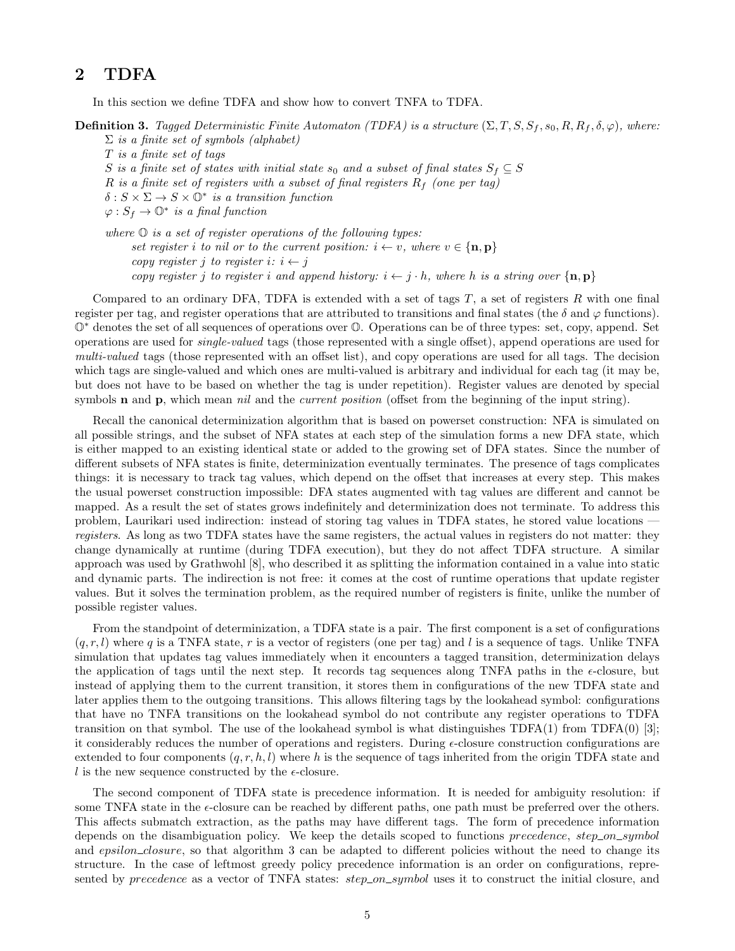## 2 TDFA

In this section we define TDFA and show how to convert TNFA to TDFA.

**Definition 3.** Tagged Deterministic Finite Automaton (TDFA) is a structure  $(\Sigma, T, S, S_f, s_0, R, R_f, \delta, \varphi)$ , where:

 $\Sigma$  is a finite set of symbols (alphabet) T is a finite set of tags S is a finite set of states with initial state  $s_0$  and a subset of final states  $S_f \subseteq S$ R is a finite set of registers with a subset of final registers  $R_f$  (one per tag)  $\delta: S \times \Sigma \to S \times \mathbb{O}^*$  is a transition function  $\varphi: S_f \to \mathbb{O}^*$  is a final function

where  $\mathbb O$  is a set of register operations of the following types: set register i to nil or to the current position:  $i \leftarrow v$ , where  $v \in \{\mathbf{n}, \mathbf{p}\}\$ copy register j to register  $i: i \leftarrow j$ copy register j to register i and append history:  $i \leftarrow j \cdot h$ , where h is a string over  $\{n, p\}$ 

Compared to an ordinary DFA, TDFA is extended with a set of tags  $T$ , a set of registers  $R$  with one final register per tag, and register operations that are attributed to transitions and final states (the  $\delta$  and  $\varphi$  functions). O<sup>∗</sup> denotes the set of all sequences of operations over O. Operations can be of three types: set, copy, append. Set operations are used for single-valued tags (those represented with a single offset), append operations are used for multi-valued tags (those represented with an offset list), and copy operations are used for all tags. The decision which tags are single-valued and which ones are multi-valued is arbitrary and individual for each tag (it may be, but does not have to be based on whether the tag is under repetition). Register values are denoted by special symbols **n** and **p**, which mean *nil* and the *current position* (offset from the beginning of the input string).

Recall the canonical determinization algorithm that is based on powerset construction: NFA is simulated on all possible strings, and the subset of NFA states at each step of the simulation forms a new DFA state, which is either mapped to an existing identical state or added to the growing set of DFA states. Since the number of different subsets of NFA states is finite, determinization eventually terminates. The presence of tags complicates things: it is necessary to track tag values, which depend on the offset that increases at every step. This makes the usual powerset construction impossible: DFA states augmented with tag values are different and cannot be mapped. As a result the set of states grows indefinitely and determinization does not terminate. To address this problem, Laurikari used indirection: instead of storing tag values in TDFA states, he stored value locations registers. As long as two TDFA states have the same registers, the actual values in registers do not matter: they change dynamically at runtime (during TDFA execution), but they do not affect TDFA structure. A similar approach was used by Grathwohl [8], who described it as splitting the information contained in a value into static and dynamic parts. The indirection is not free: it comes at the cost of runtime operations that update register values. But it solves the termination problem, as the required number of registers is finite, unlike the number of possible register values.

From the standpoint of determinization, a TDFA state is a pair. The first component is a set of configurations  $(q, r, l)$  where q is a TNFA state, r is a vector of registers (one per tag) and l is a sequence of tags. Unlike TNFA simulation that updates tag values immediately when it encounters a tagged transition, determinization delays the application of tags until the next step. It records tag sequences along TNFA paths in the  $\epsilon$ -closure, but instead of applying them to the current transition, it stores them in configurations of the new TDFA state and later applies them to the outgoing transitions. This allows filtering tags by the lookahead symbol: configurations that have no TNFA transitions on the lookahead symbol do not contribute any register operations to TDFA transition on that symbol. The use of the lookahead symbol is what distinguishes  $TDFA(1)$  from  $TDFA(0)$  [3]; it considerably reduces the number of operations and registers. During  $\epsilon$ -closure construction configurations are extended to four components  $(q, r, h, l)$  where h is the sequence of tags inherited from the origin TDFA state and l is the new sequence constructed by the  $\epsilon$ -closure.

The second component of TDFA state is precedence information. It is needed for ambiguity resolution: if some TNFA state in the  $\epsilon$ -closure can be reached by different paths, one path must be preferred over the others. This affects submatch extraction, as the paths may have different tags. The form of precedence information depends on the disambiguation policy. We keep the details scoped to functions  $precedence, step\_on\_symbol$ and epsilon\_closure, so that algorithm 3 can be adapted to different policies without the need to change its structure. In the case of leftmost greedy policy precedence information is an order on configurations, represented by precedence as a vector of TNFA states: step\_on\_symbol uses it to construct the initial closure, and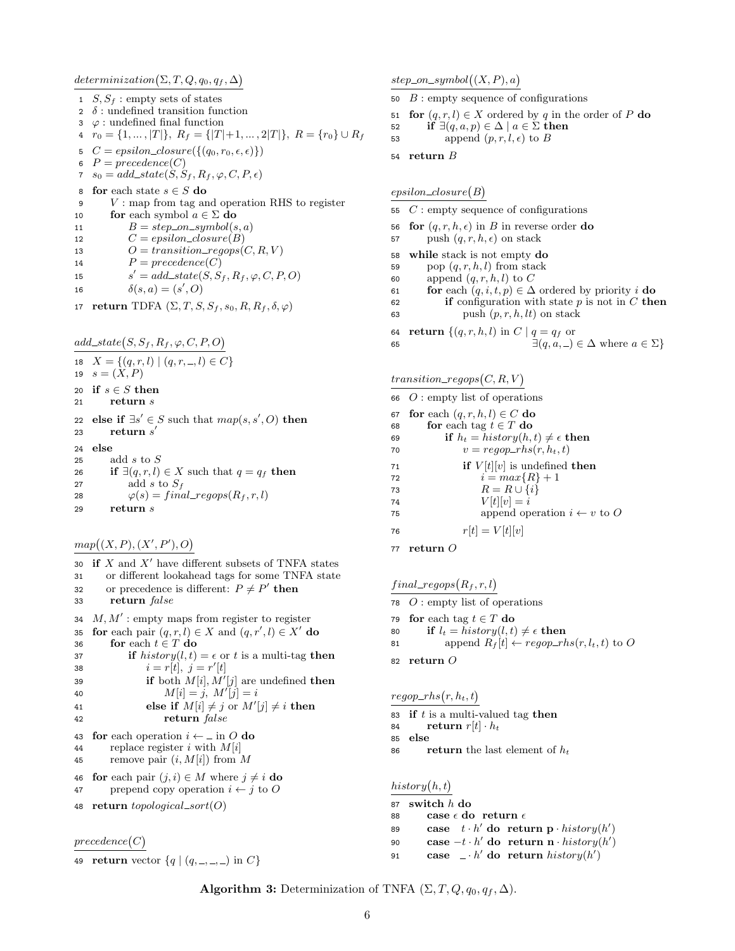$determinization(\Sigma, T, Q, q_0, q_f, \Delta)$ 

- 1  $S, S_f$ : empty sets of states
- 2  $\delta$ : undefined transition function
- 3  $\varphi$  : undefined final function
- 4  $r_0 = \{1, ..., |T|\}, R_f = \{|T|+1, ..., 2|T|\}, R = \{r_0\} \cup R_f$
- 5  $C = epsilon\_closure({(q_0, r_0, \epsilon, \epsilon)})$
- 6  $P = precedence(C)$
- 7  $s_0 = add\_state(S, S_f, R_f, \varphi, C, P, \epsilon)$
- 8 **for** each state  $s \in S$  **do**<br>9 *V* · man from tag are
- $V$ : map from tag and operation RHS to register 10 for each symbol  $a \in \Sigma$  do
- 11  $B = step\_on\_symbol(s, a)$
- 12  $C = epsilon\_closure(B)$
- 13  $O = transition\_regions(C, R, V)$
- 14  $P = precedence(C)$
- 15  $s' = add\_state(S, S_f, R_f, \varphi, C, P, O)$
- 16  $\delta(s, a) = (s', 0)$
- 17 return TDFA  $(\Sigma, T, S, S_f, s_0, R, R_f, \delta, \varphi)$

 $add\_state(S, S_f, R_f, \varphi, C, P, O)$ 

- 
- 18  $X = \{(q, r, l) | (q, r, \ldots, l) \in C\}$
- 19  $s = (X, P)$
- 20 if  $s \in S$  then
- 21 return s
- 22 else if  $\exists s' \in S$  such that  $map(s, s', O)$  then  $_{23}$  return  $s^\prime$ 24 else 25 add  $s$  to  $S$ 26 if  $\exists (q, r, l) \in X$  such that  $q = q_f$  then
- 27 add s to  $S_f$ 28  $\varphi(s) = final\_regops(R_f, r, l)$ 29 return s
- $map((X, P), (X', P'), O)$

30 if  $X$  and  $X'$  have different subsets of TNFA states 31 or different lookahead tags for some TNFA state 32 or precedence is different:  $P \neq P'$  then 33 return false 34  $M, M'$ : empty maps from register to register 35 for each pair  $(q, r, l) \in X$  and  $(q, r', l) \in X'$  do 36 for each  $t \in T$  do 37 if  $history(l, t) = \epsilon \text{ or } t$  is a multi-tag then 38  $i = r[t], j = r'[t]$ 39 if both  $M[i], M'[j]$  are undefined then 40  $M[i] = j, M'[j] = i$ 41 else if  $M[i] \neq j$  or  $M'[j] \neq i$  then 42 return false 43 for each operation  $i \leftarrow \text{in } O$  do 44 replace register i with  $M[i]$ 45 remove pair  $(i, M[i])$  from M 46 for each pair  $(j, i) \in M$  where  $j \neq i$  do 47 prepend copy operation  $i \leftarrow j$  to O 48 return  $topological\_sort(O)$  $precedence(C)$ 

```
49 return vector \{q \mid (q, -, -, -) \text{ in } C\}
```
 $step\_on\_symbol((X, P), a)$ 

- 50  $B$ : empty sequence of configurations
- 51 for  $(q, r, l) \in X$  ordered by q in the order of P do
- 52 if  $\exists (q, a, p) \in \Delta \mid a \in \Sigma$  then
- 53 append  $(p, r, l, \epsilon)$  to B
- 54 return B

#### $epsilon(B)$

- 55  $C$ : empty sequence of configurations
- 56 for  $(q, r, h, \epsilon)$  in B in reverse order do
- 57 push  $(q, r, h, \epsilon)$  on stack
- 58 while stack is not empty do
- 59 pop  $(q, r, h, l)$  from stack
- 60 append  $(q, r, h, l)$  to C
- 61 **for** each  $(q, i, t, p) \in \Delta$  ordered by priority *i* **do**
- 62 if configuration with state  $p$  is not in  $C$  then 63 push  $(p, r, h, lt)$  on stack
- 64 return  $\{(q, r, h, l) \text{ in } C \mid q = q_f \text{ or }$ 65  $\exists (q, a, \_) \in \Delta$  where  $a \in \Sigma$

 $transition\_regions(C, R, V)$ 

66  $O$ : empty list of operations

- 67 for each  $(q, r, h, l) \in C$  do
- 68 for each tag  $t \in T$  do
- 69 if  $h_t = history(h, t) \neq \epsilon$  then
- 70  $v = regop\_rhs(r, h_t, t)$
- 71 if  $V[t][v]$  is undefined then
- 72  $i = max\{R\} + 1$
- 73  $R = R \cup \{i\}$
- 74  $V[t][v] = i$ 75 append operation  $i \leftarrow v$  to O
- 76  $r[t] = V[t][v]$
- 77 return O

 $final\_regops(R_f, r, l)$ 

- 78  $O$ : empty list of operations
- 79 for each tag  $t \in T$  do
- 80 if  $l_t = history(l, t) \neq \epsilon$  then
- 81 append  $R_f[t] \leftarrow regop\_rhs(r, l_t, t)$  to O
- 82 return O

 $regop\_rhs(r, h_t, t)$ 

- 83 if  $t$  is a multi-valued tag then
- 84 return  $r[t] \cdot h_t$
- 85 else
- 86 return the last element of  $h_t$

 $history(h, t)$ 87 switch  $h$  do 88 case  $\epsilon$  do return  $\epsilon$ 89 case  $t \cdot h'$  do return p  $\cdot$  history(h') 90 case  $-t \cdot h'$  do return n · history(h') 91 case  $\Box \cdot h'$  do return  $history(h')$ 

Algorithm 3: Determinization of TNFA  $(\Sigma, T, Q, q_0, q_f, \Delta)$ .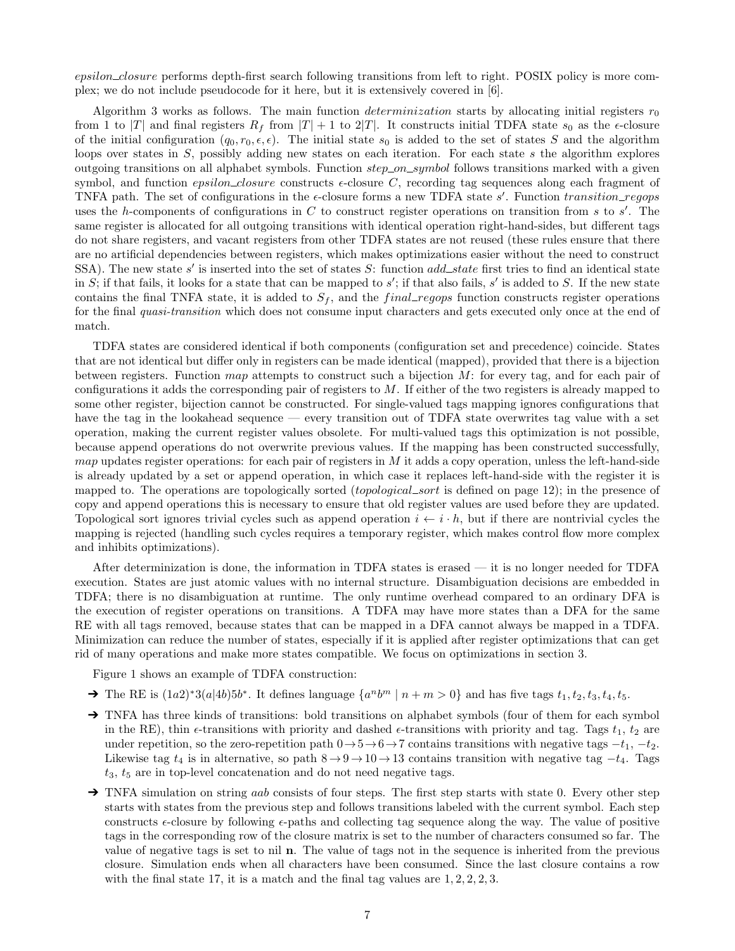epsilon\_closure performs depth-first search following transitions from left to right. POSIX policy is more complex; we do not include pseudocode for it here, but it is extensively covered in [6].

Algorithm 3 works as follows. The main function *determinization* starts by allocating initial registers  $r_0$ from 1 to |T| and final registers  $R_f$  from  $|T| + 1$  to  $2|T|$ . It constructs initial TDFA state  $s_0$  as the  $\epsilon$ -closure of the initial configuration  $(q_0, r_0, \epsilon, \epsilon)$ . The initial state  $s_0$  is added to the set of states S and the algorithm loops over states in S, possibly adding new states on each iteration. For each state s the algorithm explores outgoing transitions on all alphabet symbols. Function step on symbol follows transitions marked with a given symbol, and function *epsilon\_closure* constructs  $\epsilon$ -closure C, recording tag sequences along each fragment of TNFA path. The set of configurations in the  $\epsilon$ -closure forms a new TDFA state s'. Function transition\_regops uses the h-components of configurations in C to construct register operations on transition from s to s'. The same register is allocated for all outgoing transitions with identical operation right-hand-sides, but different tags do not share registers, and vacant registers from other TDFA states are not reused (these rules ensure that there are no artificial dependencies between registers, which makes optimizations easier without the need to construct SSA). The new state s' is inserted into the set of states S: function  $add\_state$  first tries to find an identical state in S; if that fails, it looks for a state that can be mapped to s'; if that also fails, s' is added to S. If the new state contains the final TNFA state, it is added to  $S_f$ , and the final regores function constructs register operations for the final quasi-transition which does not consume input characters and gets executed only once at the end of match.

TDFA states are considered identical if both components (configuration set and precedence) coincide. States that are not identical but differ only in registers can be made identical (mapped), provided that there is a bijection between registers. Function map attempts to construct such a bijection  $M$ : for every tag, and for each pair of configurations it adds the corresponding pair of registers to M. If either of the two registers is already mapped to some other register, bijection cannot be constructed. For single-valued tags mapping ignores configurations that have the tag in the lookahead sequence — every transition out of TDFA state overwrites tag value with a set operation, making the current register values obsolete. For multi-valued tags this optimization is not possible, because append operations do not overwrite previous values. If the mapping has been constructed successfully,  $map$  updates register operations: for each pair of registers in  $M$  it adds a copy operation, unless the left-hand-side is already updated by a set or append operation, in which case it replaces left-hand-side with the register it is mapped to. The operations are topologically sorted *(topological\_sort* is defined on page 12); in the presence of copy and append operations this is necessary to ensure that old register values are used before they are updated. Topological sort ignores trivial cycles such as append operation  $i \leftarrow i \cdot h$ , but if there are nontrivial cycles the mapping is rejected (handling such cycles requires a temporary register, which makes control flow more complex and inhibits optimizations).

After determinization is done, the information in TDFA states is erased — it is no longer needed for TDFA execution. States are just atomic values with no internal structure. Disambiguation decisions are embedded in TDFA; there is no disambiguation at runtime. The only runtime overhead compared to an ordinary DFA is the execution of register operations on transitions. A TDFA may have more states than a DFA for the same RE with all tags removed, because states that can be mapped in a DFA cannot always be mapped in a TDFA. Minimization can reduce the number of states, especially if it is applied after register optimizations that can get rid of many operations and make more states compatible. We focus on optimizations in section 3.

Figure 1 shows an example of TDFA construction:

- → The RE is  $(1a2)^*3(a|4b)5b^*$ . It defines language  $\{a^nb^m | n+m>0\}$  and has five tags  $t_1, t_2, t_3, t_4, t_5$ .
- → TNFA has three kinds of transitions: bold transitions on alphabet symbols (four of them for each symbol in the RE), thin  $\epsilon$ -transitions with priority and dashed  $\epsilon$ -transitions with priority and tag. Tags  $t_1$ ,  $t_2$  are under repetition, so the zero-repetition path  $0 \rightarrow 5 \rightarrow 6 \rightarrow 7$  contains transitions with negative tags  $-t_1$ ,  $-t_2$ . Likewise tag  $t_4$  is in alternative, so path  $8 \rightarrow 9 \rightarrow 10 \rightarrow 13$  contains transition with negative tag  $-t_4$ . Tags  $t_3$ ,  $t_5$  are in top-level concatenation and do not need negative tags.
- → TNFA simulation on string *aab* consists of four steps. The first step starts with state 0. Every other step starts with states from the previous step and follows transitions labeled with the current symbol. Each step constructs  $\epsilon$ -closure by following  $\epsilon$ -paths and collecting tag sequence along the way. The value of positive tags in the corresponding row of the closure matrix is set to the number of characters consumed so far. The value of negative tags is set to nil n. The value of tags not in the sequence is inherited from the previous closure. Simulation ends when all characters have been consumed. Since the last closure contains a row with the final state 17, it is a match and the final tag values are  $1, 2, 2, 2, 3$ .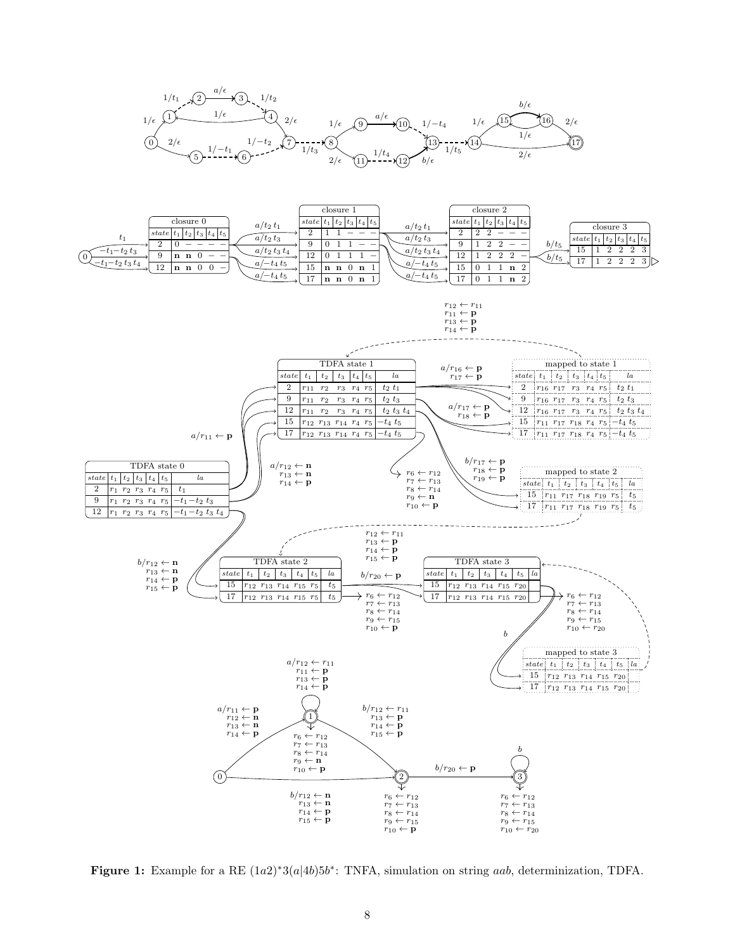





**Figure 1:** Example for a RE  $(1a2)*3(a|4b)5b^*$ : TNFA, simulation on string *aab*, determinization, TDFA.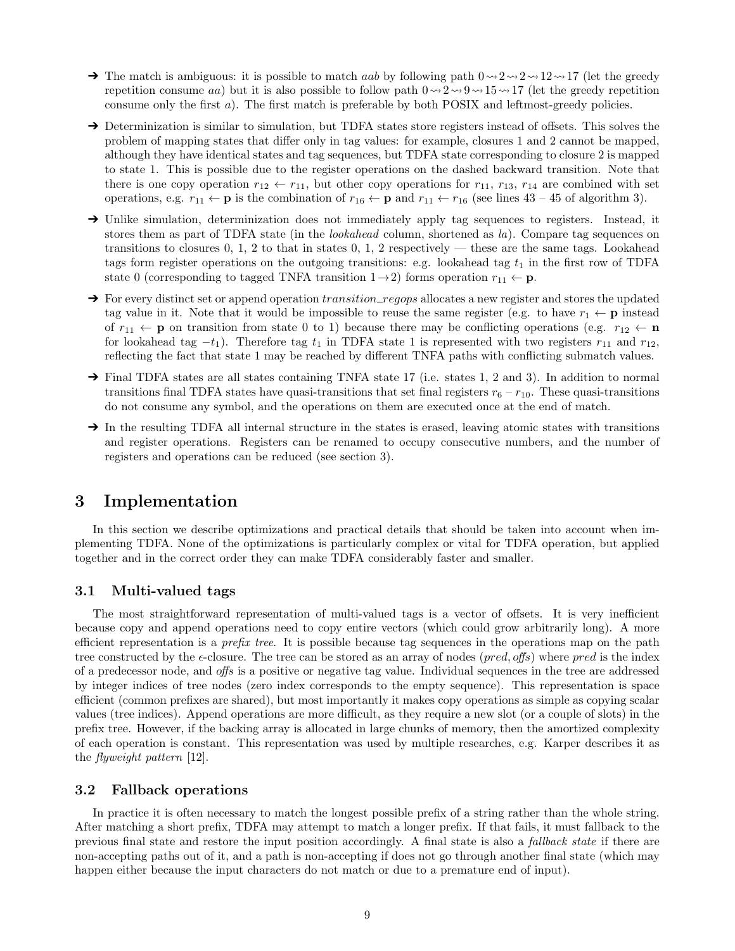- $\rightarrow$  The match is ambiguous: it is possible to match *aab* by following path  $0 \rightarrow 2 \rightarrow 2 \rightarrow 12 \rightarrow 17$  (let the greedy repetition consume aa) but it is also possible to follow path  $0 \rightarrow 2 \rightarrow 9 \rightarrow 15 \rightarrow 17$  (let the greedy repetition consume only the first a). The first match is preferable by both POSIX and leftmost-greedy policies.
- → Determinization is similar to simulation, but TDFA states store registers instead of offsets. This solves the problem of mapping states that differ only in tag values: for example, closures 1 and 2 cannot be mapped, although they have identical states and tag sequences, but TDFA state corresponding to closure 2 is mapped to state 1. This is possible due to the register operations on the dashed backward transition. Note that there is one copy operation  $r_{12} \leftarrow r_{11}$ , but other copy operations for  $r_{11}$ ,  $r_{13}$ ,  $r_{14}$  are combined with set operations, e.g.  $r_{11} \leftarrow p$  is the combination of  $r_{16} \leftarrow p$  and  $r_{11} \leftarrow r_{16}$  (see lines 43 – 45 of algorithm 3).
- → Unlike simulation, determinization does not immediately apply tag sequences to registers. Instead, it stores them as part of TDFA state (in the *lookahead* column, shortened as la). Compare tag sequences on transitions to closures 0, 1, 2 to that in states 0, 1, 2 respectively — these are the same tags. Lookahead tags form register operations on the outgoing transitions: e.g. lookahead tag  $t_1$  in the first row of TDFA state 0 (corresponding to tagged TNFA transition  $1\rightarrow 2$ ) forms operation  $r_{11} \leftarrow \mathbf{p}$ .
- $\rightarrow$  For every distinct set or append operation *transition\_regops* allocates a new register and stores the updated tag value in it. Note that it would be impossible to reuse the same register (e.g. to have  $r_1 \leftarrow p$  instead of  $r_{11} \leftarrow p$  on transition from state 0 to 1) because there may be conflicting operations (e.g.  $r_{12} \leftarrow n$ for lookahead tag  $-t_1$ ). Therefore tag  $t_1$  in TDFA state 1 is represented with two registers  $r_{11}$  and  $r_{12}$ , reflecting the fact that state 1 may be reached by different TNFA paths with conflicting submatch values.
- ➔ Final TDFA states are all states containing TNFA state 17 (i.e. states 1, 2 and 3). In addition to normal transitions final TDFA states have quasi-transitions that set final registers  $r_6 - r_{10}$ . These quasi-transitions do not consume any symbol, and the operations on them are executed once at the end of match.
- → In the resulting TDFA all internal structure in the states is erased, leaving atomic states with transitions and register operations. Registers can be renamed to occupy consecutive numbers, and the number of registers and operations can be reduced (see section 3).

### 3 Implementation

In this section we describe optimizations and practical details that should be taken into account when implementing TDFA. None of the optimizations is particularly complex or vital for TDFA operation, but applied together and in the correct order they can make TDFA considerably faster and smaller.

### 3.1 Multi-valued tags

The most straightforward representation of multi-valued tags is a vector of offsets. It is very inefficient because copy and append operations need to copy entire vectors (which could grow arbitrarily long). A more efficient representation is a *prefix tree*. It is possible because tag sequences in the operations map on the path tree constructed by the  $\epsilon$ -closure. The tree can be stored as an array of nodes (*pred, offs*) where *pred* is the index of a predecessor node, and offs is a positive or negative tag value. Individual sequences in the tree are addressed by integer indices of tree nodes (zero index corresponds to the empty sequence). This representation is space efficient (common prefixes are shared), but most importantly it makes copy operations as simple as copying scalar values (tree indices). Append operations are more difficult, as they require a new slot (or a couple of slots) in the prefix tree. However, if the backing array is allocated in large chunks of memory, then the amortized complexity of each operation is constant. This representation was used by multiple researches, e.g. Karper describes it as the flyweight pattern [12].

### 3.2 Fallback operations

In practice it is often necessary to match the longest possible prefix of a string rather than the whole string. After matching a short prefix, TDFA may attempt to match a longer prefix. If that fails, it must fallback to the previous final state and restore the input position accordingly. A final state is also a fallback state if there are non-accepting paths out of it, and a path is non-accepting if does not go through another final state (which may happen either because the input characters do not match or due to a premature end of input).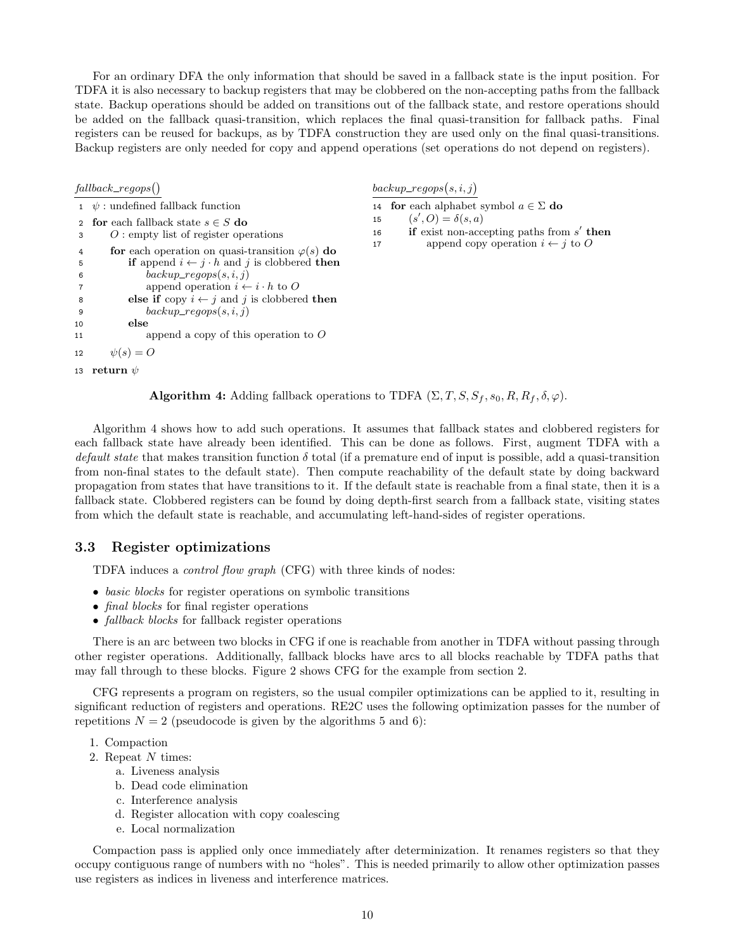For an ordinary DFA the only information that should be saved in a fallback state is the input position. For TDFA it is also necessary to backup registers that may be clobbered on the non-accepting paths from the fallback state. Backup operations should be added on transitions out of the fallback state, and restore operations should be added on the fallback quasi-transition, which replaces the final quasi-transition for fallback paths. Final registers can be reused for backups, as by TDFA construction they are used only on the final quasi-transitions. Backup registers are only needed for copy and append operations (set operations do not depend on registers).

#### $fallback\_regops()$

```
1 \psi : undefined fallback function
 2 for each fallback state s \in S do
 3 O : empty list of register operations
 4 for each operation on quasi-transition \varphi(s) do
 5 if append i \leftarrow j \cdot h and j is clobbered then
 6 backup\_regops(s, i, j)7 append operation i \leftarrow i \cdot h to O
 8 else if copy i \leftarrow j and j is clobbered then
9 backup\_regops(s, i, j)10 else
11 append a copy of this operation to O
12 \psi(s) = O13 return \psi
```
 $\emph{backup\_regops}(s, i, j)$ 

14 **for** each alphabet symbol  $a \in \Sigma$  **do** 

15  $(s', O) = \delta(s, a)$ 

16 if exist non-accepting paths from  $s'$  then

17 append copy operation  $i \leftarrow j$  to O

**Algorithm 4:** Adding fallback operations to TDFA  $(\Sigma, T, S, S_f, s_0, R, R_f, \delta, \varphi)$ .

Algorithm 4 shows how to add such operations. It assumes that fallback states and clobbered registers for each fallback state have already been identified. This can be done as follows. First, augment TDFA with a default state that makes transition function  $\delta$  total (if a premature end of input is possible, add a quasi-transition from non-final states to the default state). Then compute reachability of the default state by doing backward propagation from states that have transitions to it. If the default state is reachable from a final state, then it is a fallback state. Clobbered registers can be found by doing depth-first search from a fallback state, visiting states from which the default state is reachable, and accumulating left-hand-sides of register operations.

### 3.3 Register optimizations

TDFA induces a control flow graph (CFG) with three kinds of nodes:

- basic blocks for register operations on symbolic transitions
- *final blocks* for final register operations
- fallback blocks for fallback register operations

There is an arc between two blocks in CFG if one is reachable from another in TDFA without passing through other register operations. Additionally, fallback blocks have arcs to all blocks reachable by TDFA paths that may fall through to these blocks. Figure 2 shows CFG for the example from section 2.

CFG represents a program on registers, so the usual compiler optimizations can be applied to it, resulting in significant reduction of registers and operations. RE2C uses the following optimization passes for the number of repetitions  $N = 2$  (pseudocode is given by the algorithms 5 and 6):

- 1. Compaction
- 2. Repeat N times:
	- a. Liveness analysis
	- b. Dead code elimination
	- c. Interference analysis
	- d. Register allocation with copy coalescing
	- e. Local normalization

Compaction pass is applied only once immediately after determinization. It renames registers so that they occupy contiguous range of numbers with no "holes". This is needed primarily to allow other optimization passes use registers as indices in liveness and interference matrices.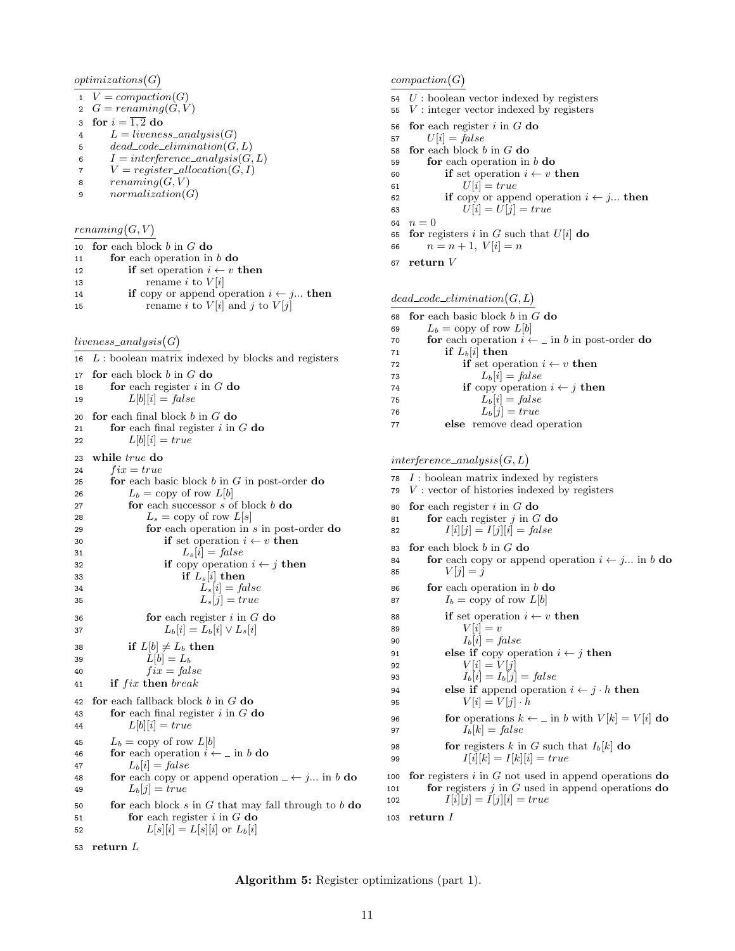$optimizations(G)$ 

- 1  $V = compaction(G)$
- 2  $G = renaming(G, V)$
- 3 for  $i = \overline{1,2}$  do
- 4  $L = liveness\_analysis(G)$ <br>5  $dead\_code\_elimination(G)$
- $dead\_code\_elimination(G, L)$
- 6  $I = interface\_analysis(G, L)$
- 7  $V = register\_allocation(G, I)$
- 8  $renaming(G, V)$
- 9  $normalization(G)$

 $renaming(G, V)$ 

|    | 10 for each block b in $G$ do                            |
|----|----------------------------------------------------------|
| 11 | for each operation in $b$ do                             |
| 12 | <b>if</b> set operation $i \leftarrow v$ then            |
| 13 | rename <i>i</i> to $V[i]$                                |
| 14 | <b>if</b> copy or append operation $i \leftarrow j$ then |
| 15 | rename <i>i</i> to $V[i]$ and <i>j</i> to $V[j]$         |
|    |                                                          |

 $liveness\_analysis(G)$ 

| 16 | $L$ : boolean matrix indexed by blocks and registers                          |
|----|-------------------------------------------------------------------------------|
| 17 | for each block $b$ in $G$ do                                                  |
| 18 | for each register $i$ in $G$ do                                               |
| 19 | $L[b][i] = false$                                                             |
| 20 | for each final block $b$ in $G$ do                                            |
| 21 | for each final register $i$ in $G$ do                                         |
| 22 | $L[b][i] = true$                                                              |
|    |                                                                               |
| 23 | while true do                                                                 |
| 24 | $fix = true$                                                                  |
| 25 | for each basic block $b$ in $G$ in post-order do                              |
| 26 | $L_b = \text{copy of row } L[b]$                                              |
| 27 | for each successor $s$ of block $b$ do                                        |
| 28 | $L_s =$ copy of row $L[s]$                                                    |
| 29 | for each operation in $s$ in post-order do                                    |
| 30 | if set operation $i \leftarrow v$ then                                        |
| 31 | $L_s[i] = false$                                                              |
| 32 | <b>if</b> copy operation $i \leftarrow j$ then                                |
| 33 | if $L_s[i]$ then                                                              |
| 34 | $L_s[i] = false$                                                              |
| 35 | $L_s[j] = true$                                                               |
| 36 | for each register $i$ in $G$ do                                               |
| 37 | $L_b[i] = L_b[i] \vee L_s[i]$                                                 |
| 38 | if $L[b] \neq L_b$ then                                                       |
| 39 | $L[b] = L_b$                                                                  |
| 40 | $fix = false$                                                                 |
| 41 | if fix then break                                                             |
| 42 | for each fallback block $b$ in $G$ do                                         |
|    | for each final register $i$ in $G$ do                                         |
| 43 | $L[b][i] = true$                                                              |
| 44 |                                                                               |
| 45 | $L_b = \text{copy of row } L[b]$                                              |
| 46 | <b>for</b> each operation $i \leftarrow \text{in } b$ <b>do</b>               |
| 47 | $L_b[i] = false$                                                              |
| 48 | <b>for</b> each copy or append operation $\angle \leftarrow j$ in b <b>do</b> |
| 49 | $L_b[i] = true$                                                               |
| 50 | for each block $s$ in $G$ that may fall through to $b$ do                     |
| 51 | for each register $i$ in $G$ do                                               |
| 52 | $L[s][i] = L[s][i]$ or $L_b[i]$                                               |
|    |                                                                               |

#### $compaction(G)$

- $54$   $U$  : boolean vector indexed by registers
- $55 \, V$ : integer vector indexed by registers
- 56 for each register  $i$  in  $G$  do
- 57  $U[i] = false$
- 58 for each block  $b$  in  $G$  do
- 59 **for** each operation in  $b$  **do**
- 60 if set operation  $i \leftarrow v$  then
- 61  $U[i] = true$
- 62 if copy or append operation  $i \leftarrow j...$  then<br>63  $U[i] = U[j] = true$  $U[i] = U[j] = true$

64  $n = 0$ 

- 65 for registers i in G such that  $U[i]$  do
- 66  $n = n + 1, V[i] = n$
- 67 return V

#### $dead\_code\_elimination(G, L)$

- 68 for each basic block  $b$  in  $G$  do
- 69  $L_b = \text{copy of row } L[b]$
- 70 **for** each operation  $i \leftarrow \bot$  in b in post-order **do** 71 if  $L_b[i]$  then

72 if set operation  $i \leftarrow v$  then

73  $L_b[i] = false$ 

74 **if** copy operation  $i \leftarrow j$  then

- 75  $L_b[i] = false$
- 76  $L_b[j] = true$
- 77 else remove dead operation

 $interference\_analysis(G, L)$ 

```
78 I: boolean matrix indexed by registers
```
- $79 \, V$ : vector of histories indexed by registers
- 80 for each register  $i$  in  $G$  do
- 81 **for** each register  $j$  in  $G$  do
- 82  $I[i][j] = I[j][i] = false$
- 83 for each block  $b$  in  $G$  do
- 84 **for** each copy or append operation  $i \leftarrow j...$  in b **do** 85  $V[j] = j$
- 86 **for** each operation in  $b$  **do**
- 87  $I_b = \text{copy of row } L[b]$
- 88 if set operation  $i \leftarrow v$  then 89  $V[i] = v$ 90  $I_b[i] = false$
- 91 else if copy operation  $i \leftarrow j$  then<br>92  $V[i] = V[j]$ 92  $V[i] = V[j]$ 93  $I_b[i] = I_b[j] = \text{false}$ 94 else if append operation  $i \leftarrow j \cdot h$  then

$$
V[i] = V[j] \cdot h
$$

96 **for** operations  $k \leftarrow \text{in } b$  with  $V[k] = V[i]$  do

98 **for** registers *k* in *G* such that 
$$
I_b[k]
$$
 **do**  
99  $I[i][k] = I[k][i] = true$ 

100 for registers  $i$  in  $G$  not used in append operations do 101 **for** registers  $j$  in  $G$  used in append operations **do** 102  $I[i][j] = I[j][i] = true$ 

103 return I

53 return L

Algorithm 5: Register optimizations (part 1).

95  $V[i] = V[j] \cdot h$ 97  $I_b[k] = false$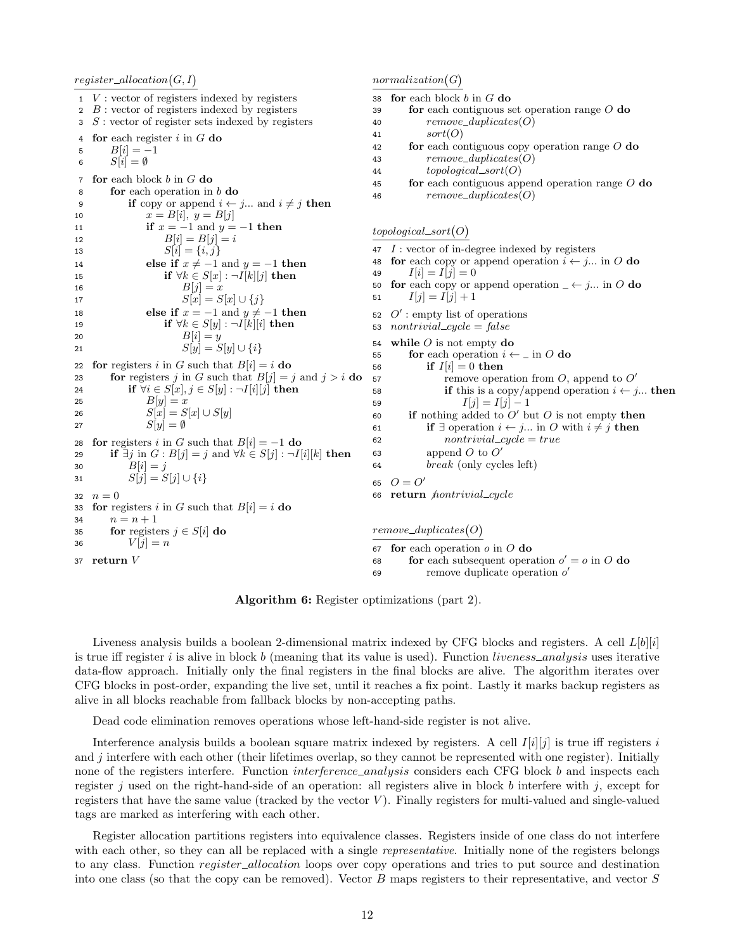$register\_allocation(G, I)$ 1 V : vector of registers indexed by registers  $2\,$  B : vector of registers indexed by registers  $3 S:$  vector of register sets indexed by registers 4 for each register  $i$  in  $G$  do 5  $B[i] = -1$ 6  $S[i] = \emptyset$ 7 for each block  $b$  in  $G$  do 8 **for** each operation in  $b$  **do** 9 if copy or append  $i \leftarrow j...$  and  $i \neq j$  then 10  $x = B[i], y = B[j]$ 11 **if**  $x = -1$  and  $y = -1$  then 12  $B[i] = B[j] = i$ 13  $S[i] = \{i, j\}$ 14 else if  $x \neq -1$  and  $y = -1$  then 15 if  $\forall k \in S[x] : \neg I[k][j]$  then 16  $B[j] = x$ 17  $S[x] = S[x] \cup \{j\}$ 18 else if  $x = -1$  and  $y \neq -1$  then 19 if  $\forall k \in S[y] : \neg I[k][i]$  then 20  $B[i] = y$ 21  $S[y] = S[y] \cup \{i\}$ 22 for registers i in G such that  $B[i] = i$  do 23 for registers j in G such that  $B[j] = j$  and  $j > i$  do 24 if  $\forall i \in S[x], j \in S[y] : \neg I[i][j]$  then 25  $B[y] = x$ 26  $S[x] = S[x] \cup S[y]$ 27  $S[y] = \emptyset$ 28 for registers i in G such that  $B[i] = -1$  do 29 if  $\exists j$  in  $G : B[j] = j$  and  $\forall k \in S[j] : \neg I[i][k]$  then 30  $B[i] = j$ 31  $S[j] = S[j] \cup \{i\}$ 32  $n = 0$ 33 for registers i in G such that  $B[i] = i$  do 34  $n = n + 1$ 35 **for** registers  $j \in S[i]$  **do** 36  $V[j] = n$ 37 return V  $normalization(G)$ 38 for each block  $b$  in  $G$  do  $39$  for each contiguous set operation range O do 40  $remove\_duplicates(O)$ 41  $sort(O)$ 42 **for** each contiguous copy operation range  $O$  do 43 remove\_duplicates(O) 44 topological sort(O) 45 **for** each contiguous append operation range  $O$  do 46  $remove\_duplicates(O)$  $topological\_sort(O)$  $47$  I : vector of in-degree indexed by registers 48 for each copy or append operation  $i \leftarrow j...$  in O do 49  $I[i] = I[j] = 0$ 50 **for** each copy or append operation  $\angle \leftarrow j...$  in O do 51  $I[j] = I[j] + 1$ 52  $O'$ : empty list of operations 53 nontrivial\_cycle =  $false$ 54 while  $O$  is not empty do 55 for each operation  $i \leftarrow \bot$  in O do 56 if  $I[i] = 0$  then  $\mathsf{F7}$  remove operation from O, append to O' 58 **if** this is a copy/append operation  $i \leftarrow j...$  then 59  $I[j] = I[j] - 1$ 60 if nothing added to  $O'$  but  $O$  is not empty then 61 if  $\exists$  operation  $i \leftarrow j...$  in O with  $i \neq j$  then 62  $nontrivial\_cycle = true$ 63 append  $O$  to  $O'$  $64$  break (only cycles left) 65  $O = O'$ 66 return *hontrivial\_cycle*  $remove\_duplicates(O)$ 67 for each operation  $o$  in  $O$  do 68 **for** each subsequent operation  $o' = o$  in O do  $\epsilon$ 9 remove duplicate operation  $o'$ 

Algorithm 6: Register optimizations (part 2).

Liveness analysis builds a boolean 2-dimensional matrix indexed by CFG blocks and registers. A cell  $L[b][i]$ is true iff register  $i$  is alive in block b (meaning that its value is used). Function liveness\_analysis uses iterative data-flow approach. Initially only the final registers in the final blocks are alive. The algorithm iterates over CFG blocks in post-order, expanding the live set, until it reaches a fix point. Lastly it marks backup registers as alive in all blocks reachable from fallback blocks by non-accepting paths.

Dead code elimination removes operations whose left-hand-side register is not alive.

Interference analysis builds a boolean square matrix indexed by registers. A cell  $I[i][j]$  is true iff registers i and  $j$  interfere with each other (their lifetimes overlap, so they cannot be represented with one register). Initially none of the registers interfere. Function *interference\_analysis* considers each CFG block b and inspects each register j used on the right-hand-side of an operation: all registers alive in block b interfere with j, except for registers that have the same value (tracked by the vector  $V$ ). Finally registers for multi-valued and single-valued tags are marked as interfering with each other.

Register allocation partitions registers into equivalence classes. Registers inside of one class do not interfere with each other, so they can all be replaced with a single *representative*. Initially none of the registers belongs to any class. Function *register\_allocation* loops over copy operations and tries to put source and destination into one class (so that the copy can be removed). Vector B maps registers to their representative, and vector S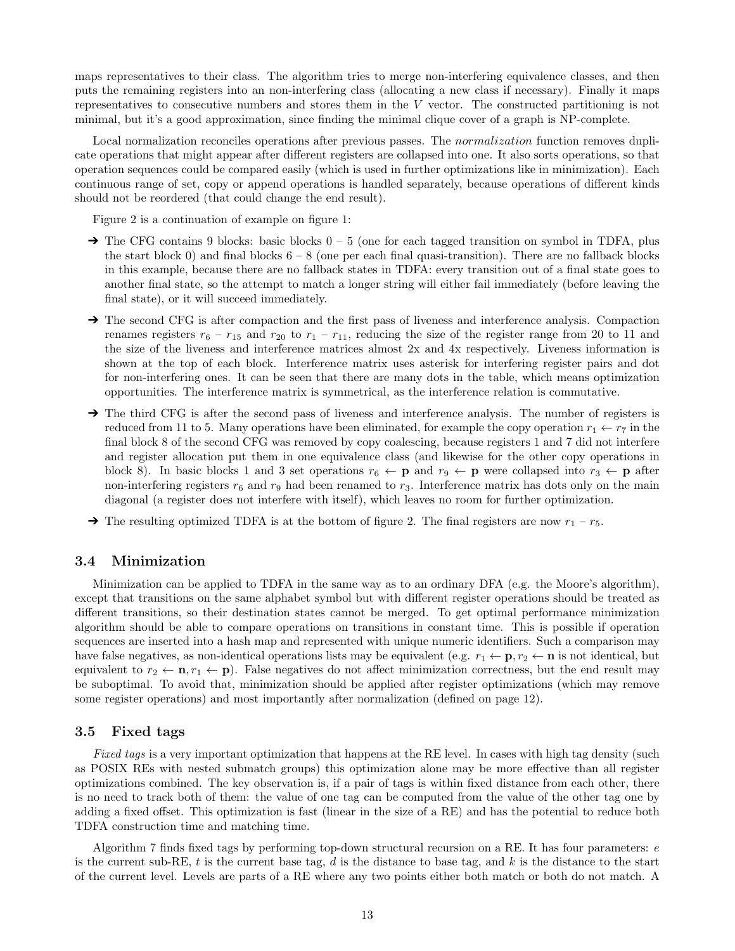maps representatives to their class. The algorithm tries to merge non-interfering equivalence classes, and then puts the remaining registers into an non-interfering class (allocating a new class if necessary). Finally it maps representatives to consecutive numbers and stores them in the V vector. The constructed partitioning is not minimal, but it's a good approximation, since finding the minimal clique cover of a graph is NP-complete.

Local normalization reconciles operations after previous passes. The *normalization* function removes duplicate operations that might appear after different registers are collapsed into one. It also sorts operations, so that operation sequences could be compared easily (which is used in further optimizations like in minimization). Each continuous range of set, copy or append operations is handled separately, because operations of different kinds should not be reordered (that could change the end result).

Figure 2 is a continuation of example on figure 1:

- $\rightarrow$  The CFG contains 9 blocks: basic blocks  $0 5$  (one for each tagged transition on symbol in TDFA, plus the start block 0) and final blocks  $6 - 8$  (one per each final quasi-transition). There are no fallback blocks in this example, because there are no fallback states in TDFA: every transition out of a final state goes to another final state, so the attempt to match a longer string will either fail immediately (before leaving the final state), or it will succeed immediately.
- → The second CFG is after compaction and the first pass of liveness and interference analysis. Compaction renames registers  $r_6 - r_{15}$  and  $r_{20}$  to  $r_1 - r_{11}$ , reducing the size of the register range from 20 to 11 and the size of the liveness and interference matrices almost 2x and 4x respectively. Liveness information is shown at the top of each block. Interference matrix uses asterisk for interfering register pairs and dot for non-interfering ones. It can be seen that there are many dots in the table, which means optimization opportunities. The interference matrix is symmetrical, as the interference relation is commutative.
- → The third CFG is after the second pass of liveness and interference analysis. The number of registers is reduced from 11 to 5. Many operations have been eliminated, for example the copy operation  $r_1 \leftarrow r_7$  in the final block 8 of the second CFG was removed by copy coalescing, because registers 1 and 7 did not interfere and register allocation put them in one equivalence class (and likewise for the other copy operations in block 8). In basic blocks 1 and 3 set operations  $r_6 \leftarrow p$  and  $r_9 \leftarrow p$  were collapsed into  $r_3 \leftarrow p$  after non-interfering registers  $r_6$  and  $r_9$  had been renamed to  $r_3$ . Interference matrix has dots only on the main diagonal (a register does not interfere with itself), which leaves no room for further optimization.
- $\rightarrow$  The resulting optimized TDFA is at the bottom of figure 2. The final registers are now  $r_1 r_5$ .

### 3.4 Minimization

Minimization can be applied to TDFA in the same way as to an ordinary DFA (e.g. the Moore's algorithm), except that transitions on the same alphabet symbol but with different register operations should be treated as different transitions, so their destination states cannot be merged. To get optimal performance minimization algorithm should be able to compare operations on transitions in constant time. This is possible if operation sequences are inserted into a hash map and represented with unique numeric identifiers. Such a comparison may have false negatives, as non-identical operations lists may be equivalent (e.g.  $r_1 \leftarrow \mathbf{p}, r_2 \leftarrow \mathbf{n}$  is not identical, but equivalent to  $r_2 \leftarrow \mathbf{n}, r_1 \leftarrow \mathbf{p}$ . False negatives do not affect minimization correctness, but the end result may be suboptimal. To avoid that, minimization should be applied after register optimizations (which may remove some register operations) and most importantly after normalization (defined on page 12).

#### 3.5 Fixed tags

Fixed tags is a very important optimization that happens at the RE level. In cases with high tag density (such as POSIX REs with nested submatch groups) this optimization alone may be more effective than all register optimizations combined. The key observation is, if a pair of tags is within fixed distance from each other, there is no need to track both of them: the value of one tag can be computed from the value of the other tag one by adding a fixed offset. This optimization is fast (linear in the size of a RE) and has the potential to reduce both TDFA construction time and matching time.

Algorithm 7 finds fixed tags by performing top-down structural recursion on a RE. It has four parameters: e is the current sub-RE, t is the current base tag, d is the distance to base tag, and k is the distance to the start of the current level. Levels are parts of a RE where any two points either both match or both do not match. A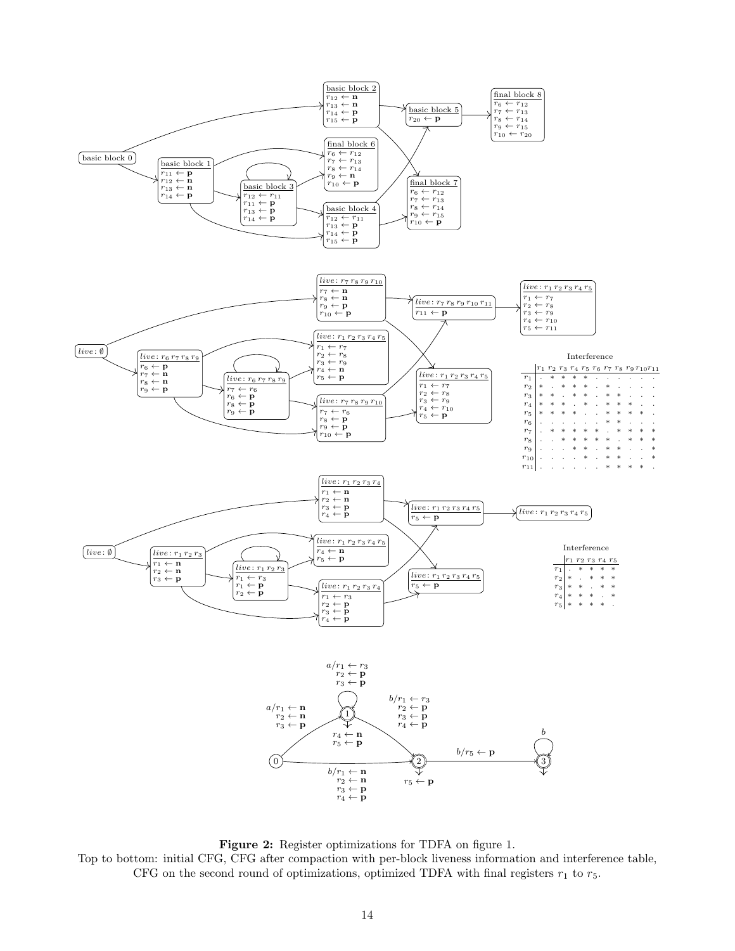

Figure 2: Register optimizations for TDFA on figure 1. Top to bottom: initial CFG, CFG after compaction with per-block liveness information and interference table, CFG on the second round of optimizations, optimized TDFA with final registers  $r_1$  to  $r_5$ .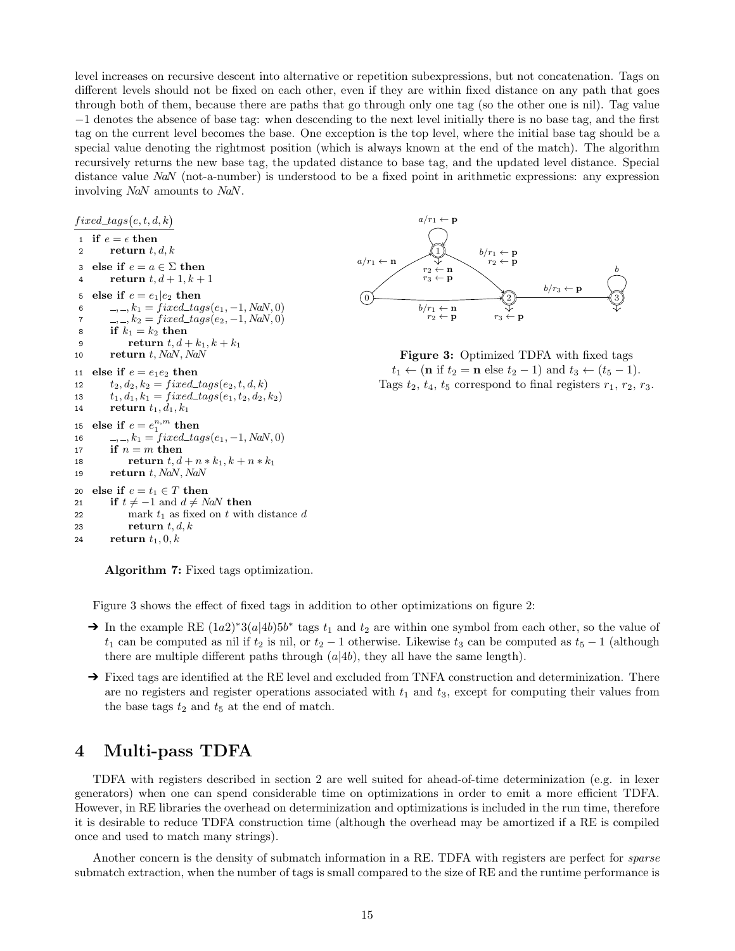level increases on recursive descent into alternative or repetition subexpressions, but not concatenation. Tags on different levels should not be fixed on each other, even if they are within fixed distance on any path that goes through both of them, because there are paths that go through only one tag (so the other one is nil). Tag value −1 denotes the absence of base tag: when descending to the next level initially there is no base tag, and the first tag on the current level becomes the base. One exception is the top level, where the initial base tag should be a special value denoting the rightmost position (which is always known at the end of the match). The algorithm recursively returns the new base tag, the updated distance to base tag, and the updated level distance. Special distance value NaN (not-a-number) is understood to be a fixed point in arithmetic expressions: any expression involving NaN amounts to NaN.

 $fixed\_tags(e, t, d, k)$ 1 if  $e = \epsilon$  then 2 return  $t, d, k$ 3 else if  $e = a \in \Sigma$  then 4 return  $t, d+1, k+1$ 5 else if  $e = e_1 | e_2$  then 6 , , , ,  $k_1 = fixed\_tags(e_1, -1, \text{NaN}, 0)$ 7 , , ,  $k_2 = fixed\_tags(e_2, -1, \text{NaN}, 0)$ 8 if  $k_1 = k_2$  then 9 return  $t, d + k_1, k + k_1$ 10 return  $t$ , NaN, NaN 11 else if  $e = e_1e_2$  then 12  $t_2, d_2, k_2 = fixed\_tags(e_2, t, d, k)$ 13  $t_1, d_1, k_1 = fixed\_tags(e_1, t_2, d_2, k_2)$ 14 return  $t_1, d_1, k_1$ 15 else if  $e = e_1^{n,m}$  then 16 , , , , k<sub>1</sub> = fixed\_tags(e<sub>1</sub>, -1, NaN, 0) 17 if  $n = m$  then 18 **return**  $t, d + n * k_1, k + n * k_1$ 19 return  $t$ , NaN, NaN 20 else if  $e = t_1 \in T$  then 21 if  $t \neq -1$  and  $d \neq NaN$  then 22 mark  $t_1$  as fixed on t with distance d<br>23 **return**  $t, d, k$ return  $t, d, k$ 24 return  $t_1$ , 0, k



Figure 3: Optimized TDFA with fixed tags  $t_1 \leftarrow (\mathbf{n} \text{ if } t_2 = \mathbf{n} \text{ else } t_2 - 1) \text{ and } t_3 \leftarrow (t_5 - 1).$ Tags  $t_2$ ,  $t_4$ ,  $t_5$  correspond to final registers  $r_1$ ,  $r_2$ ,  $r_3$ .

Algorithm 7: Fixed tags optimization.

Figure 3 shows the effect of fixed tags in addition to other optimizations on figure 2:

- → In the example RE  $(1a2)^*3(a|4b)5b^*$  tags  $t_1$  and  $t_2$  are within one symbol from each other, so the value of  $t_1$  can be computed as nil if  $t_2$  is nil, or  $t_2 - 1$  otherwise. Likewise  $t_3$  can be computed as  $t_5 - 1$  (although there are multiple different paths through  $(a|4b)$ , they all have the same length).
- → Fixed tags are identified at the RE level and excluded from TNFA construction and determinization. There are no registers and register operations associated with  $t_1$  and  $t_3$ , except for computing their values from the base tags  $t_2$  and  $t_5$  at the end of match.

### 4 Multi-pass TDFA

TDFA with registers described in section 2 are well suited for ahead-of-time determinization (e.g. in lexer generators) when one can spend considerable time on optimizations in order to emit a more efficient TDFA. However, in RE libraries the overhead on determinization and optimizations is included in the run time, therefore it is desirable to reduce TDFA construction time (although the overhead may be amortized if a RE is compiled once and used to match many strings).

Another concern is the density of submatch information in a RE. TDFA with registers are perfect for *sparse* submatch extraction, when the number of tags is small compared to the size of RE and the runtime performance is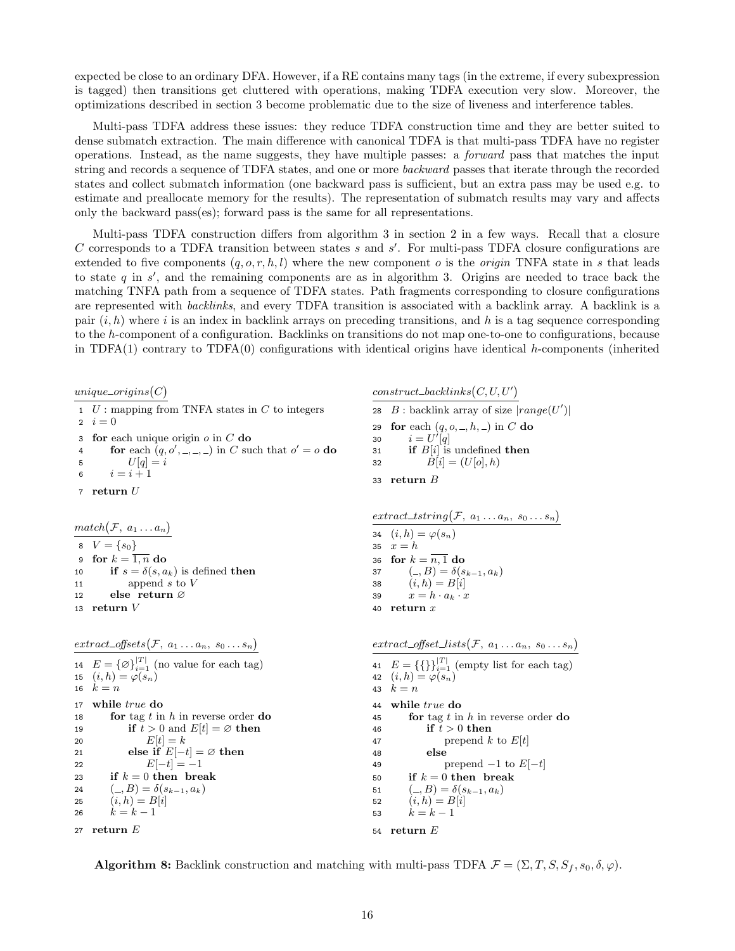expected be close to an ordinary DFA. However, if a RE contains many tags (in the extreme, if every subexpression is tagged) then transitions get cluttered with operations, making TDFA execution very slow. Moreover, the optimizations described in section 3 become problematic due to the size of liveness and interference tables.

Multi-pass TDFA address these issues: they reduce TDFA construction time and they are better suited to dense submatch extraction. The main difference with canonical TDFA is that multi-pass TDFA have no register operations. Instead, as the name suggests, they have multiple passes: a forward pass that matches the input string and records a sequence of TDFA states, and one or more backward passes that iterate through the recorded states and collect submatch information (one backward pass is sufficient, but an extra pass may be used e.g. to estimate and preallocate memory for the results). The representation of submatch results may vary and affects only the backward pass(es); forward pass is the same for all representations.

Multi-pass TDFA construction differs from algorithm 3 in section 2 in a few ways. Recall that a closure C corresponds to a TDFA transition between states  $s$  and  $s'$ . For multi-pass TDFA closure configurations are extended to five components  $(q, o, r, h, l)$  where the new component o is the origin TNFA state in s that leads to state q in s ′ , and the remaining components are as in algorithm 3. Origins are needed to trace back the matching TNFA path from a sequence of TDFA states. Path fragments corresponding to closure configurations are represented with backlinks, and every TDFA transition is associated with a backlink array. A backlink is a pair  $(i, h)$  where i is an index in backlink arrays on preceding transitions, and h is a tag sequence corresponding to the h-component of a configuration. Backlinks on transitions do not map one-to-one to configurations, because in TDFA $(1)$  contrary to TDFA $(0)$  configurations with identical origins have identical h-components (inherited

 $unique\_origins(C)$  $1$  U : mapping from TNFA states in C to integers 2  $i = 0$ 3 for each unique origin  $o$  in  $C$  do 4 for each  $(q, o', \_, \_, \_)$  in C such that  $o' = o$  do 5  $U[q] = i$ 6  $i = i + 1$ 7 return  $U$  $match(F, a_1 ... a_n)$ 8  $V = \{s_0\}$ 9 for  $k = \overline{1, n}$  do 10 if  $s = \delta(s, a_k)$  is defined then 11 append s to V 12 else return ∅ 13 return V  $extract\_offsets(\mathcal{F}, a_1 \ldots a_n, s_0 \ldots s_n)$ 14  $E = \{\emptyset\}_{i=1}^{|T|}$  (no value for each tag) 15  $(i,h) = \varphi(s_n)$ 16  $k = n$ 17 while  $true$  do 18 **for** tag t in h in reverse order **do** 19 if  $t > 0$  and  $E[t] = \emptyset$  then 20  $E[t] = k$ 21 else if  $E[-t] = \emptyset$  then 22  $E[-t] = -1$ 23 if  $k = 0$  then break 24  $( \_, B ) = \delta(s_{k-1}, a_k)$ 25  $(i, h) = B[i]$ 26  $k = k - 1$ 27 return E  $construct\_backlinks(C, U, U')$ 28  $B:$  backlink array of size  $|range(U')|$ 29 for each  $(q, o, \_, h, \_)$  in C do 30  $i = U'[\hat{q}]$ 31 if  $B[i]$  is undefined then 32  $B[i] = (U[o], h)$ 33 return B  $extract\_tstring(F, a_1 \ldots a_n, s_0 \ldots s_n)$ 34  $(i,h) = \varphi(s_n)$ 35  $x = h$ 36 for  $k = \overline{n, 1}$  do 37  $(-, B) = \delta(s_{k-1}, a_k)$ 38  $(i, h) = B[i]$ 39  $x = h \cdot a_k \cdot x$ 40 return x  $extract\_offset\_lists(\mathcal{F}, a_1 \ldots a_n, s_0 \ldots s_n)$ 41  $E = \{\{\}\}_{i=1}^{|T|}$  (empty list for each tag) 42  $(i,h) = \varphi(s_n)$ 43  $k = n$ 44 while true do 45 **for** tag t in h in reverse order **do** 46 if  $t > 0$  then 47 **prepend k to**  $E[t]$ 48 else 49 prepend  $-1$  to  $E[-t]$ 50 if  $k = 0$  then break 51  $( \_ , B ) = \delta(s_{k-1}, a_k)$ 52  $(i, h) = B[i]$ 53  $k = k - 1$ 54 return E

**Algorithm 8:** Backlink construction and matching with multi-pass TDFA  $\mathcal{F} = (\Sigma, T, S, S_f, s_0, \delta, \varphi)$ .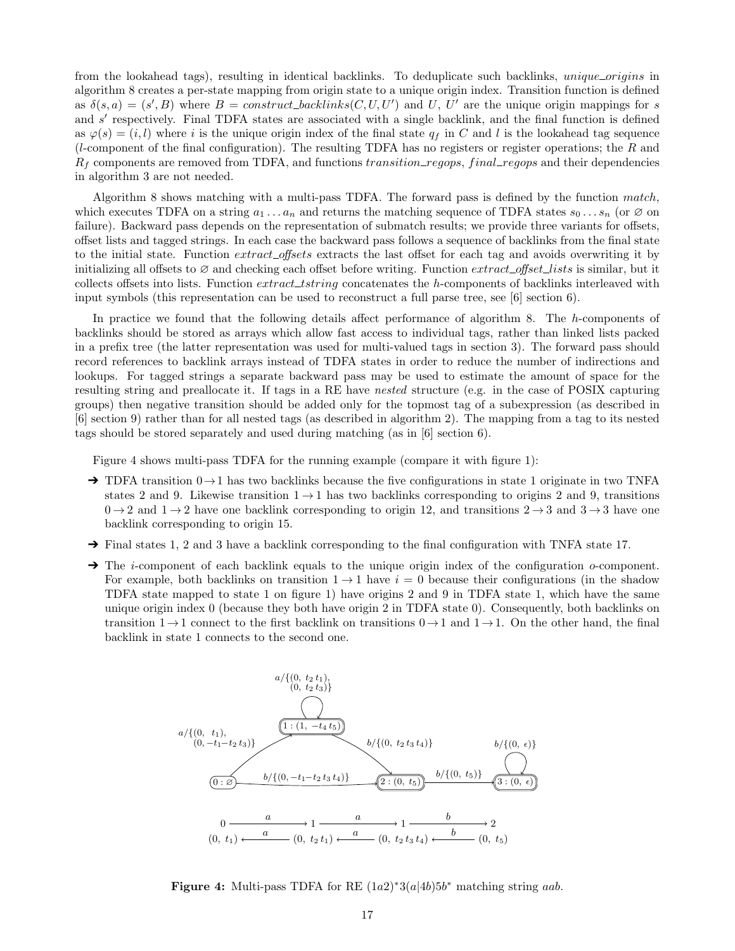from the lookahead tags), resulting in identical backlinks. To deduplicate such backlinks, unique origins in algorithm 8 creates a per-state mapping from origin state to a unique origin index. Transition function is defined as  $\delta(s, a) = (s', B)$  where  $B = construct\_backlinks(C, U, U')$  and U, U' are the unique origin mappings for s and s' respectively. Final TDFA states are associated with a single backlink, and the final function is defined as  $\varphi(s) = (i, l)$  where i is the unique origin index of the final state  $q_f$  in C and l is the lookahead tag sequence (*l*-component of the final configuration). The resulting TDFA has no registers or register operations; the R and  $R_f$  components are removed from TDFA, and functions transition regops, final regops and their dependencies in algorithm 3 are not needed.

Algorithm 8 shows matching with a multi-pass TDFA. The forward pass is defined by the function match, which executes TDFA on a string  $a_1 \ldots a_n$  and returns the matching sequence of TDFA states  $s_0 \ldots s_n$  (or  $\varnothing$  on failure). Backward pass depends on the representation of submatch results; we provide three variants for offsets, offset lists and tagged strings. In each case the backward pass follows a sequence of backlinks from the final state to the initial state. Function extract\_offsets extracts the last offset for each tag and avoids overwriting it by initializing all offsets to  $\varnothing$  and checking each offset before writing. Function extract\_offset\_lists is similar, but it collects offsets into lists. Function *extract\_tstring* concatenates the h-components of backlinks interleaved with input symbols (this representation can be used to reconstruct a full parse tree, see [6] section 6).

In practice we found that the following details affect performance of algorithm 8. The h-components of backlinks should be stored as arrays which allow fast access to individual tags, rather than linked lists packed in a prefix tree (the latter representation was used for multi-valued tags in section 3). The forward pass should record references to backlink arrays instead of TDFA states in order to reduce the number of indirections and lookups. For tagged strings a separate backward pass may be used to estimate the amount of space for the resulting string and preallocate it. If tags in a RE have nested structure (e.g. in the case of POSIX capturing groups) then negative transition should be added only for the topmost tag of a subexpression (as described in [6] section 9) rather than for all nested tags (as described in algorithm 2). The mapping from a tag to its nested tags should be stored separately and used during matching (as in [6] section 6).

Figure 4 shows multi-pass TDFA for the running example (compare it with figure 1):

- $\rightarrow$  TDFA transition  $0 \rightarrow 1$  has two backlinks because the five configurations in state 1 originate in two TNFA states 2 and 9. Likewise transition  $1 \rightarrow 1$  has two backlinks corresponding to origins 2 and 9, transitions  $0 \rightarrow 2$  and  $1 \rightarrow 2$  have one backlink corresponding to origin 12, and transitions  $2 \rightarrow 3$  and  $3 \rightarrow 3$  have one backlink corresponding to origin 15.
- $\rightarrow$  Final states 1, 2 and 3 have a backlink corresponding to the final configuration with TNFA state 17.
- $\rightarrow$  The *i*-component of each backlink equals to the unique origin index of the configuration *o*-component. For example, both backlinks on transition  $1 \rightarrow 1$  have  $i = 0$  because their configurations (in the shadow TDFA state mapped to state 1 on figure 1) have origins 2 and 9 in TDFA state 1, which have the same unique origin index 0 (because they both have origin 2 in TDFA state 0). Consequently, both backlinks on transition  $1\rightarrow 1$  connect to the first backlink on transitions  $0\rightarrow 1$  and  $1\rightarrow 1$ . On the other hand, the final backlink in state 1 connects to the second one.



**Figure 4:** Multi-pass TDFA for RE  $(1a2)^*3(a|4b)5b^*$  matching string aab.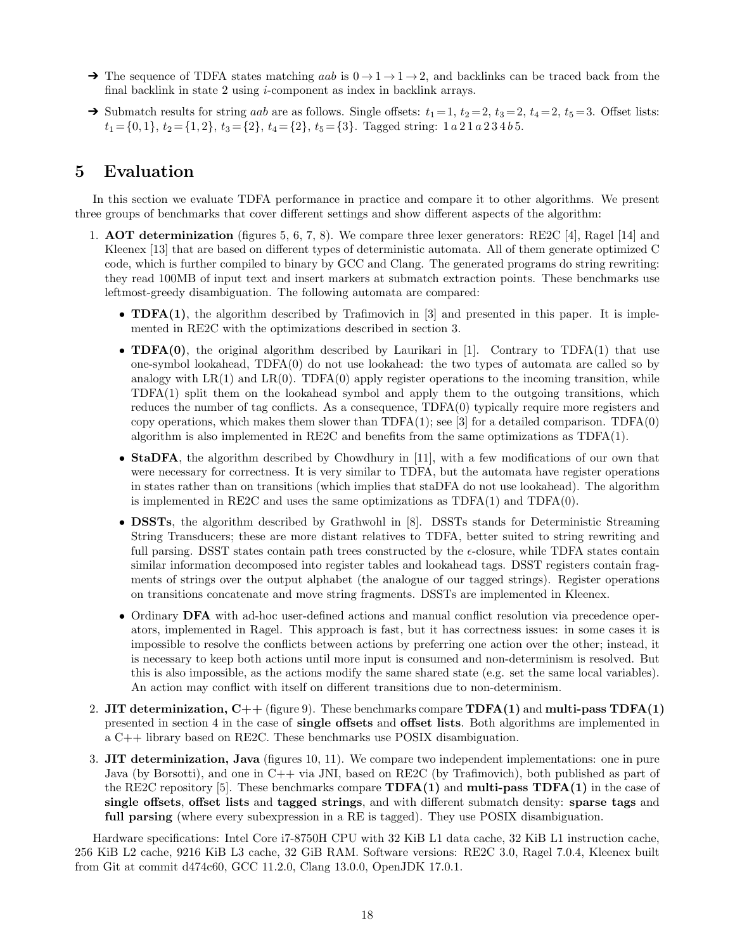- $\rightarrow$  The sequence of TDFA states matching aab is  $0 \rightarrow 1 \rightarrow 1 \rightarrow 2$ , and backlinks can be traced back from the final backlink in state 2 using i-component as index in backlink arrays.
- $\rightarrow$  Submatch results for string *aab* are as follows. Single offsets:  $t_1 = 1$ ,  $t_2 = 2$ ,  $t_3 = 2$ ,  $t_4 = 2$ ,  $t_5 = 3$ . Offset lists:  $t_1 = \{0, 1\}, t_2 = \{1, 2\}, t_3 = \{2\}, t_4 = \{2\}, t_5 = \{3\}.$  Tagged string:  $1 a 2 1 a 2 3 4 b 5.$

## 5 Evaluation

In this section we evaluate TDFA performance in practice and compare it to other algorithms. We present three groups of benchmarks that cover different settings and show different aspects of the algorithm:

- 1. AOT determinization (figures 5, 6, 7, 8). We compare three lexer generators: RE2C [4], Ragel [14] and Kleenex [13] that are based on different types of deterministic automata. All of them generate optimized C code, which is further compiled to binary by GCC and Clang. The generated programs do string rewriting: they read 100MB of input text and insert markers at submatch extraction points. These benchmarks use leftmost-greedy disambiguation. The following automata are compared:
	- **TDFA(1)**, the algorithm described by Trafimovich in  $[3]$  and presented in this paper. It is implemented in RE2C with the optimizations described in section 3.
	- **TDFA(0)**, the original algorithm described by Laurikari in [1]. Contrary to TDFA(1) that use one-symbol lookahead, TDFA(0) do not use lookahead: the two types of automata are called so by analogy with  $LR(1)$  and  $LR(0)$ . TDFA $(0)$  apply register operations to the incoming transition, while TDFA(1) split them on the lookahead symbol and apply them to the outgoing transitions, which reduces the number of tag conflicts. As a consequence, TDFA(0) typically require more registers and copy operations, which makes them slower than TDFA(1); see [3] for a detailed comparison. TDFA(0) algorithm is also implemented in RE2C and benefits from the same optimizations as TDFA(1).
	- StaDFA, the algorithm described by Chowdhury in [11], with a few modifications of our own that were necessary for correctness. It is very similar to TDFA, but the automata have register operations in states rather than on transitions (which implies that staDFA do not use lookahead). The algorithm is implemented in RE2C and uses the same optimizations as  $TDFA(1)$  and  $TDFA(0)$ .
	- DSSTs, the algorithm described by Grathwohl in [8]. DSSTs stands for Deterministic Streaming String Transducers; these are more distant relatives to TDFA, better suited to string rewriting and full parsing. DSST states contain path trees constructed by the  $\epsilon$ -closure, while TDFA states contain similar information decomposed into register tables and lookahead tags. DSST registers contain fragments of strings over the output alphabet (the analogue of our tagged strings). Register operations on transitions concatenate and move string fragments. DSSTs are implemented in Kleenex.
	- Ordinary **DFA** with ad-hoc user-defined actions and manual conflict resolution via precedence operators, implemented in Ragel. This approach is fast, but it has correctness issues: in some cases it is impossible to resolve the conflicts between actions by preferring one action over the other; instead, it is necessary to keep both actions until more input is consumed and non-determinism is resolved. But this is also impossible, as the actions modify the same shared state (e.g. set the same local variables). An action may conflict with itself on different transitions due to non-determinism.
- 2. JIT determinization,  $C++$  (figure 9). These benchmarks compare  $TDFA(1)$  and multi-pass  $TDFA(1)$ presented in section 4 in the case of single offsets and offset lists. Both algorithms are implemented in a C++ library based on RE2C. These benchmarks use POSIX disambiguation.
- 3. JIT determinization, Java (figures 10, 11). We compare two independent implementations: one in pure Java (by Borsotti), and one in C++ via JNI, based on RE2C (by Trafimovich), both published as part of the RE2C repository [5]. These benchmarks compare  $\mathbf{TDFA}(1)$  and **multi-pass**  $\mathbf{TDFA}(1)$  in the case of single offsets, offset lists and tagged strings, and with different submatch density: sparse tags and full parsing (where every subexpression in a RE is tagged). They use POSIX disambiguation.

Hardware specifications: Intel Core i7-8750H CPU with 32 KiB L1 data cache, 32 KiB L1 instruction cache, 256 KiB L2 cache, 9216 KiB L3 cache, 32 GiB RAM. Software versions: RE2C 3.0, Ragel 7.0.4, Kleenex built from Git at commit d474c60, GCC 11.2.0, Clang 13.0.0, OpenJDK 17.0.1.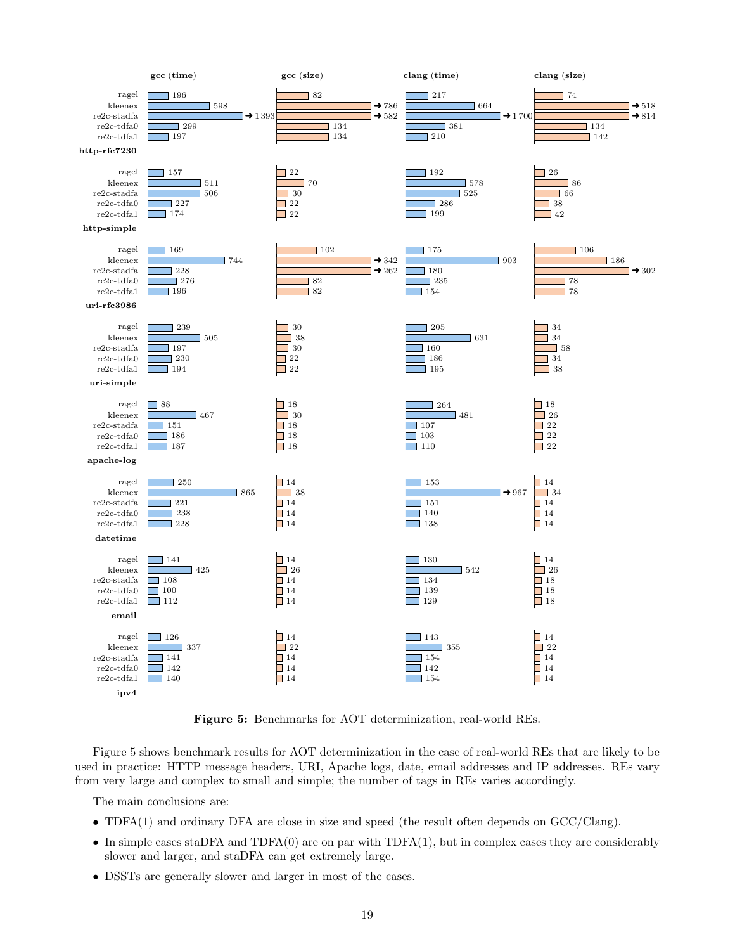

Figure 5: Benchmarks for AOT determinization, real-world REs.

Figure 5 shows benchmark results for AOT determinization in the case of real-world REs that are likely to be used in practice: HTTP message headers, URI, Apache logs, date, email addresses and IP addresses. REs vary from very large and complex to small and simple; the number of tags in REs varies accordingly.

The main conclusions are:

- TDFA(1) and ordinary DFA are close in size and speed (the result often depends on GCC/Clang).
- In simple cases staDFA and  $TDFA(0)$  are on par with  $TDFA(1)$ , but in complex cases they are considerably slower and larger, and staDFA can get extremely large.
- DSSTs are generally slower and larger in most of the cases.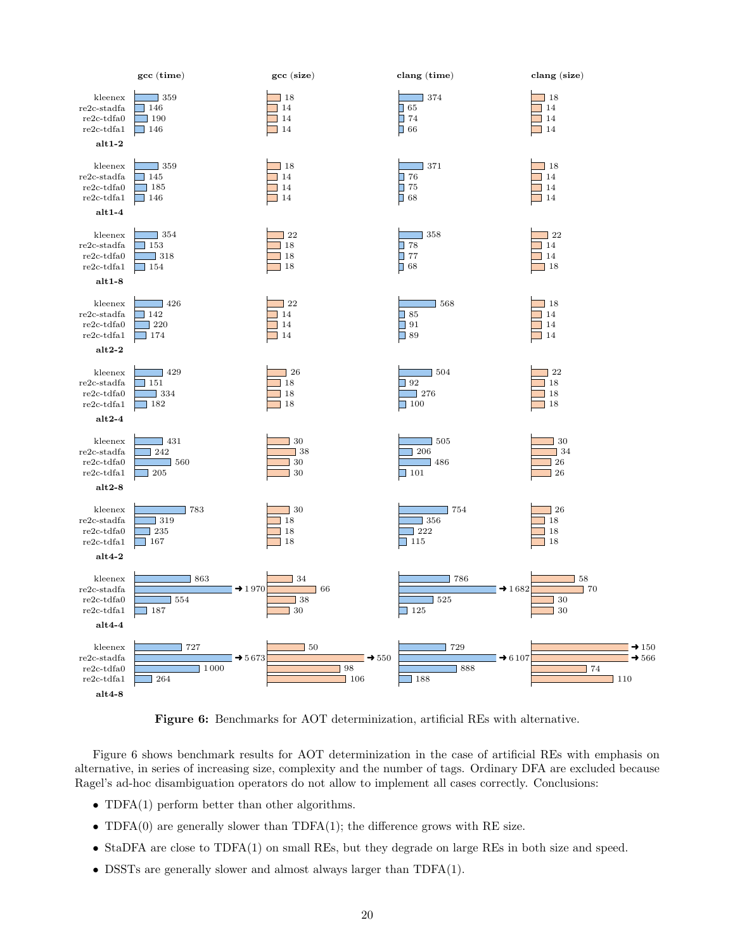

Figure 6: Benchmarks for AOT determinization, artificial REs with alternative.

Figure 6 shows benchmark results for AOT determinization in the case of artificial REs with emphasis on alternative, in series of increasing size, complexity and the number of tags. Ordinary DFA are excluded because Ragel's ad-hoc disambiguation operators do not allow to implement all cases correctly. Conclusions:

- TDFA(1) perform better than other algorithms.
- TDFA $(0)$  are generally slower than TDFA $(1)$ ; the difference grows with RE size.
- StaDFA are close to TDFA(1) on small REs, but they degrade on large REs in both size and speed.
- DSSTs are generally slower and almost always larger than TDFA(1).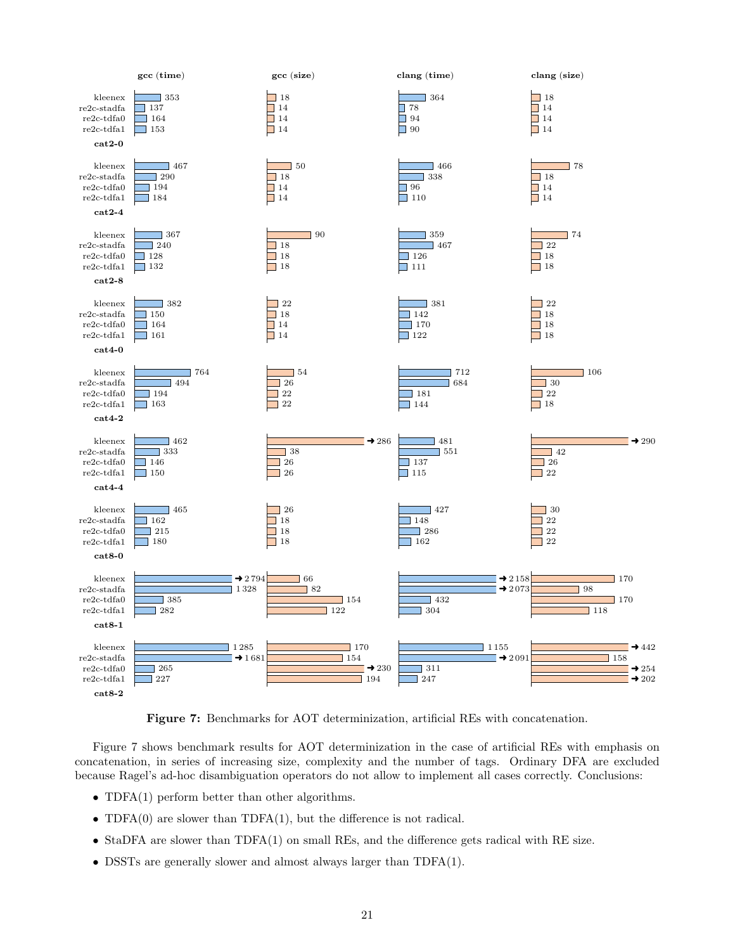

Figure 7: Benchmarks for AOT determinization, artificial REs with concatenation.

Figure 7 shows benchmark results for AOT determinization in the case of artificial REs with emphasis on concatenation, in series of increasing size, complexity and the number of tags. Ordinary DFA are excluded because Ragel's ad-hoc disambiguation operators do not allow to implement all cases correctly. Conclusions:

- TDFA(1) perform better than other algorithms.
- TDFA $(0)$  are slower than TDFA $(1)$ , but the difference is not radical.
- StaDFA are slower than TDFA(1) on small REs, and the difference gets radical with RE size.
- DSSTs are generally slower and almost always larger than TDFA(1).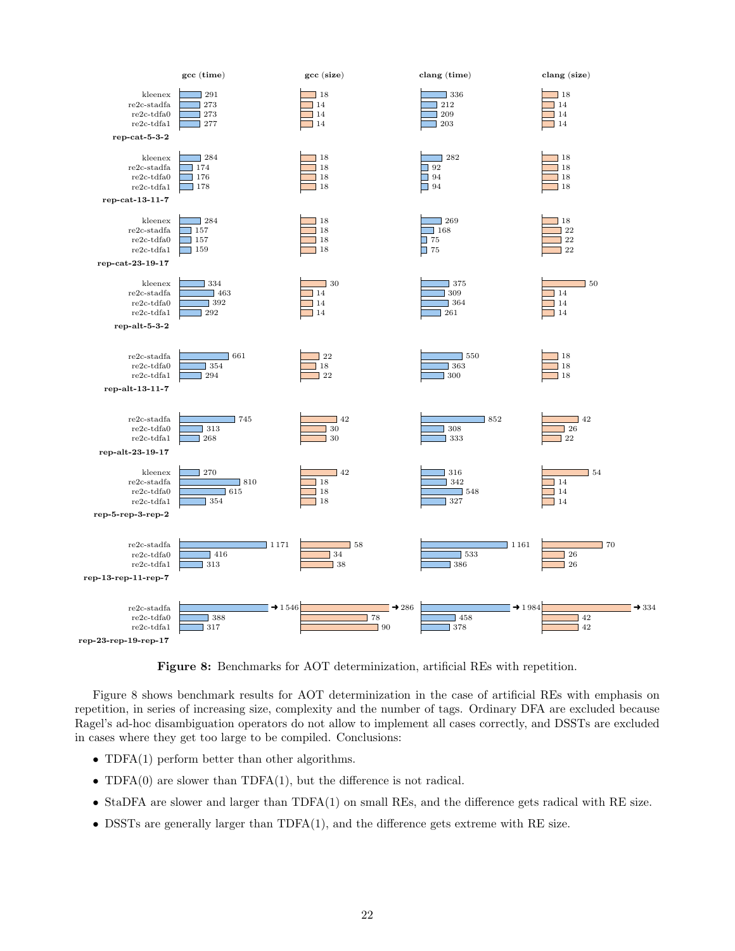

Figure 8: Benchmarks for AOT determinization, artificial REs with repetition.

Figure 8 shows benchmark results for AOT determinization in the case of artificial REs with emphasis on repetition, in series of increasing size, complexity and the number of tags. Ordinary DFA are excluded because Ragel's ad-hoc disambiguation operators do not allow to implement all cases correctly, and DSSTs are excluded in cases where they get too large to be compiled. Conclusions:

- TDFA(1) perform better than other algorithms.
- TDFA $(0)$  are slower than TDFA $(1)$ , but the difference is not radical.
- StaDFA are slower and larger than TDFA(1) on small REs, and the difference gets radical with RE size.
- DSSTs are generally larger than TDFA(1), and the difference gets extreme with RE size.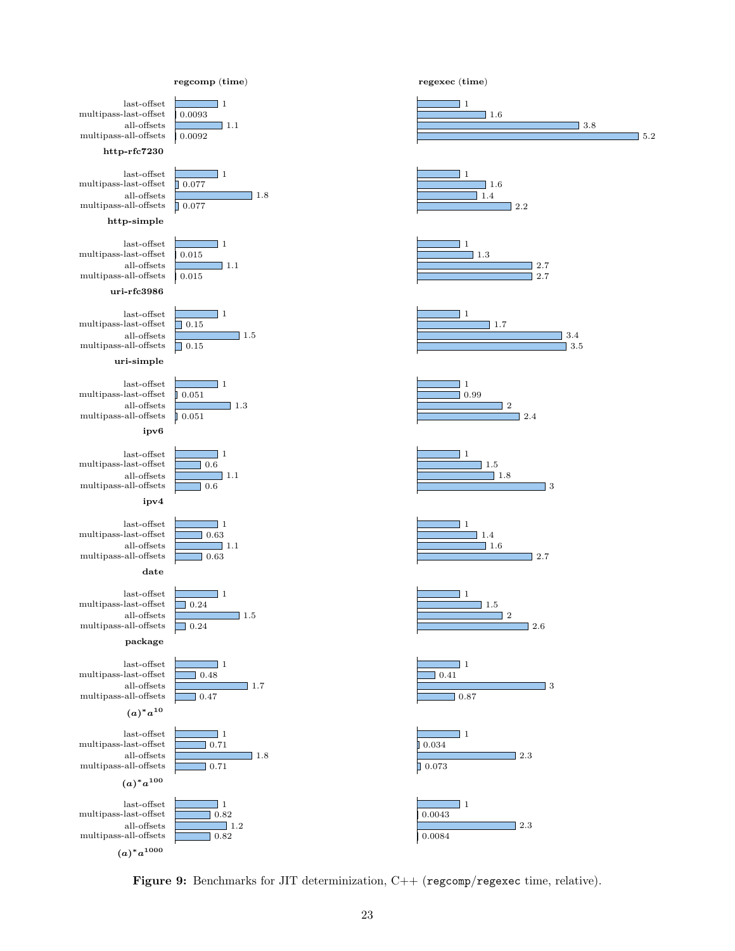

 $\Box$  5.2

 $(a)^*a^{1000}$ 

Figure 9: Benchmarks for JIT determinization, C++ (regcomp/regexec time, relative).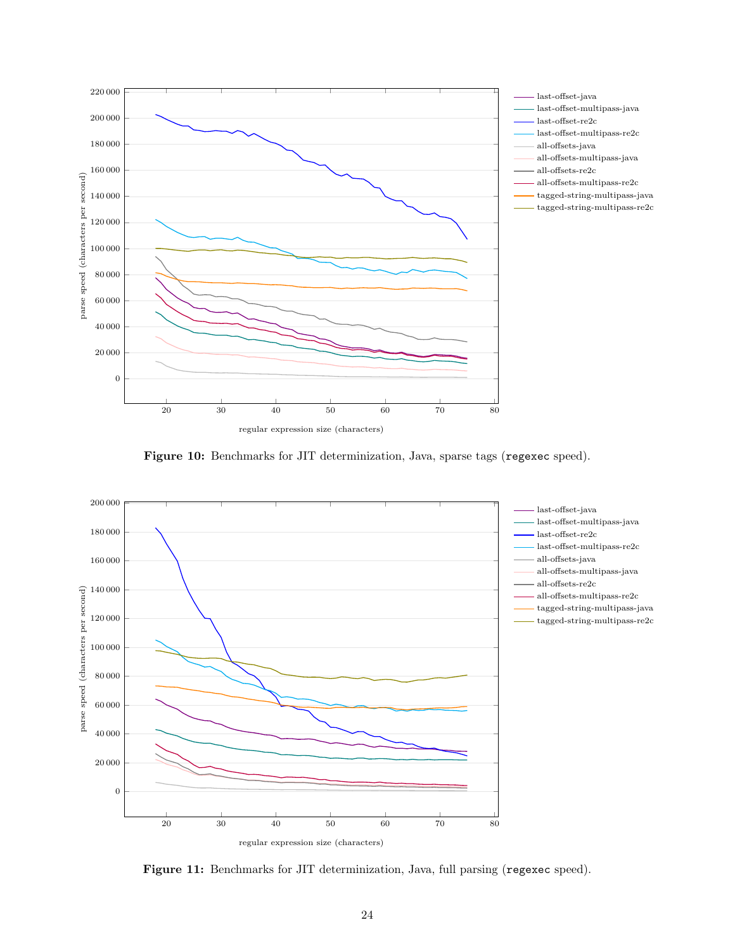





Figure 11: Benchmarks for JIT determinization, Java, full parsing (regexec speed).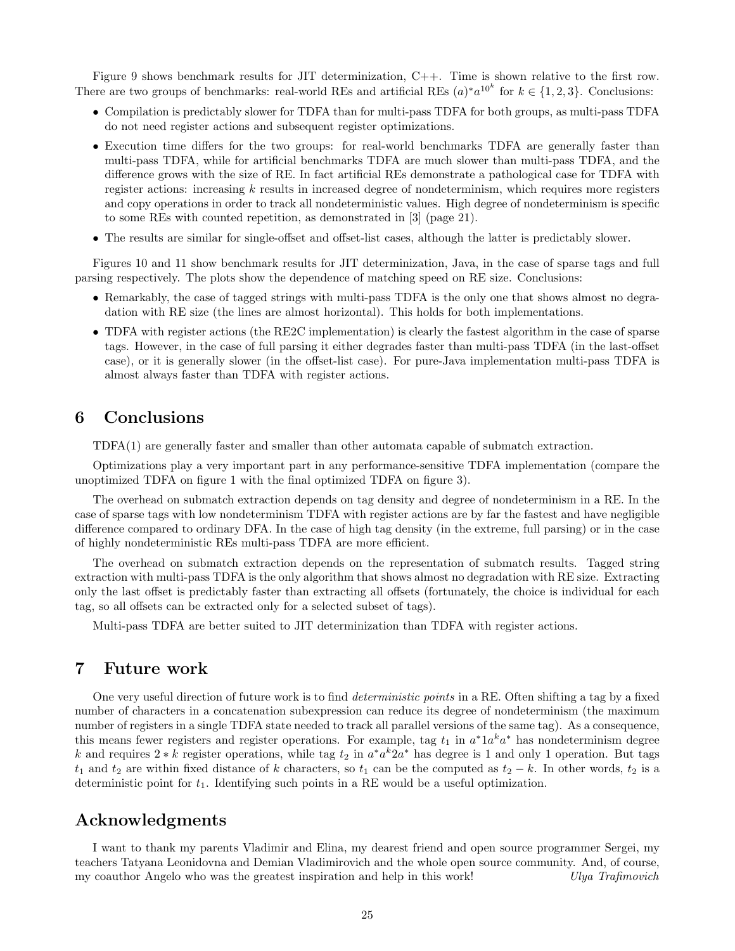Figure 9 shows benchmark results for JIT determinization, C++. Time is shown relative to the first row. There are two groups of benchmarks: real-world REs and artificial REs  $(a)^*a^{10^k}$  for  $k \in \{1, 2, 3\}$ . Conclusions:

- Compilation is predictably slower for TDFA than for multi-pass TDFA for both groups, as multi-pass TDFA do not need register actions and subsequent register optimizations.
- Execution time differs for the two groups: for real-world benchmarks TDFA are generally faster than multi-pass TDFA, while for artificial benchmarks TDFA are much slower than multi-pass TDFA, and the difference grows with the size of RE. In fact artificial REs demonstrate a pathological case for TDFA with register actions: increasing k results in increased degree of nondeterminism, which requires more registers and copy operations in order to track all nondeterministic values. High degree of nondeterminism is specific to some REs with counted repetition, as demonstrated in [3] (page 21).
- The results are similar for single-offset and offset-list cases, although the latter is predictably slower.

Figures 10 and 11 show benchmark results for JIT determinization, Java, in the case of sparse tags and full parsing respectively. The plots show the dependence of matching speed on RE size. Conclusions:

- Remarkably, the case of tagged strings with multi-pass TDFA is the only one that shows almost no degradation with RE size (the lines are almost horizontal). This holds for both implementations.
- TDFA with register actions (the RE2C implementation) is clearly the fastest algorithm in the case of sparse tags. However, in the case of full parsing it either degrades faster than multi-pass TDFA (in the last-offset case), or it is generally slower (in the offset-list case). For pure-Java implementation multi-pass TDFA is almost always faster than TDFA with register actions.

## 6 Conclusions

TDFA(1) are generally faster and smaller than other automata capable of submatch extraction.

Optimizations play a very important part in any performance-sensitive TDFA implementation (compare the unoptimized TDFA on figure 1 with the final optimized TDFA on figure 3).

The overhead on submatch extraction depends on tag density and degree of nondeterminism in a RE. In the case of sparse tags with low nondeterminism TDFA with register actions are by far the fastest and have negligible difference compared to ordinary DFA. In the case of high tag density (in the extreme, full parsing) or in the case of highly nondeterministic REs multi-pass TDFA are more efficient.

The overhead on submatch extraction depends on the representation of submatch results. Tagged string extraction with multi-pass TDFA is the only algorithm that shows almost no degradation with RE size. Extracting only the last offset is predictably faster than extracting all offsets (fortunately, the choice is individual for each tag, so all offsets can be extracted only for a selected subset of tags).

Multi-pass TDFA are better suited to JIT determinization than TDFA with register actions.

## 7 Future work

One very useful direction of future work is to find *deterministic points* in a RE. Often shifting a tag by a fixed number of characters in a concatenation subexpression can reduce its degree of nondeterminism (the maximum number of registers in a single TDFA state needed to track all parallel versions of the same tag). As a consequence, this means fewer registers and register operations. For example, tag  $t_1$  in  $a^*1a^ka^*$  has nondeterminism degree k and requires  $2 * k$  register operations, while tag  $t_2$  in  $a^* a^k 2a^*$  has degree is 1 and only 1 operation. But tags  $t_1$  and  $t_2$  are within fixed distance of k characters, so  $t_1$  can be the computed as  $t_2 - k$ . In other words,  $t_2$  is a deterministic point for  $t_1$ . Identifying such points in a RE would be a useful optimization.

### Acknowledgments

I want to thank my parents Vladimir and Elina, my dearest friend and open source programmer Sergei, my teachers Tatyana Leonidovna and Demian Vladimirovich and the whole open source community. And, of course, my coauthor Angelo who was the greatest inspiration and help in this work! Ulya Trafimovich